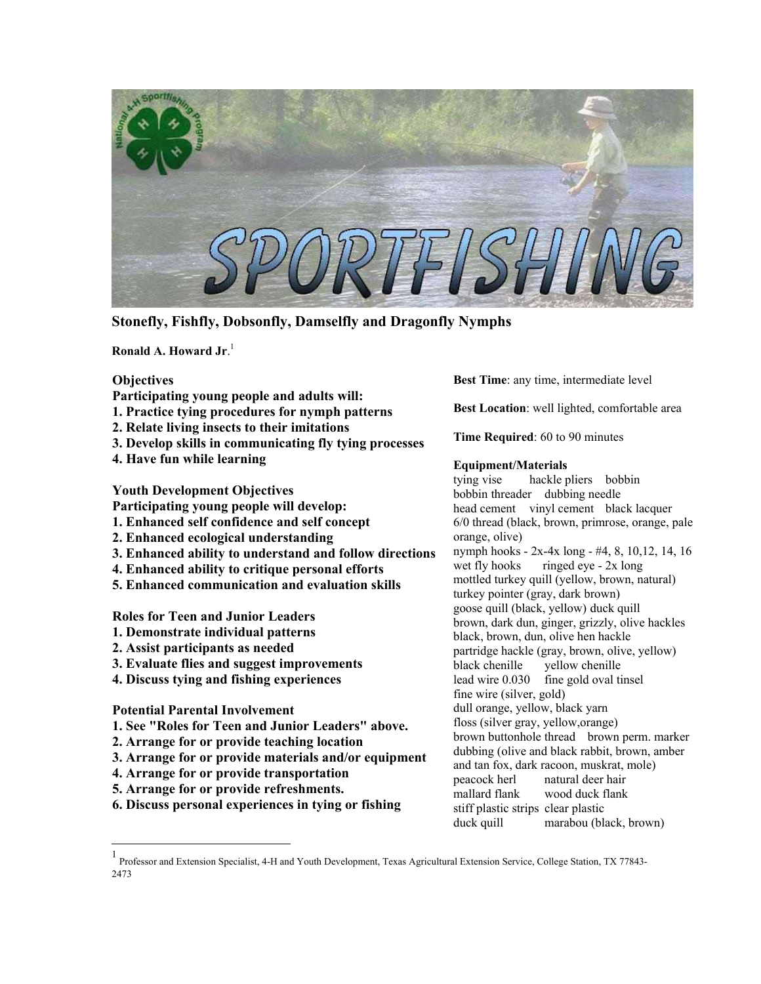

**Stonefly, Fishfly, Dobsonfly, Damselfly and Dragonfly Nymphs**

**Ronald A. Howard Jr**. [1](#page-0-0)

# **Objectives Participating young people and adults will: 1. Practice tying procedures for nymph patterns 2. Relate living insects to their imitations 3. Develop skills in communicating fly tying processes 4. Have fun while learning Youth Development Objectives Participating young people will develop: 1. Enhanced self confidence and self concept 2. Enhanced ecological understanding 3. Enhanced ability to understand and follow directions 4. Enhanced ability to critique personal efforts 5. Enhanced communication and evaluation skills Roles for Teen and Junior Leaders 1. Demonstrate individual patterns 2. Assist participants as needed 3. Evaluate flies and suggest improvements 4. Discuss tying and fishing experiences Potential Parental Involvement 1. See "Roles for Teen and Junior Leaders" above. 2. Arrange for or provide teaching location 3. Arrange for or provide materials and/or equipment 4. Arrange for or provide transportation 5. Arrange for or provide refreshments. 6. Discuss personal experiences in tying or fishing**

**Best Time**: any time, intermediate level

**Best Location**: well lighted, comfortable area

**Time Required**: 60 to 90 minutes

### **Equipment/Materials**

tying vise hackle pliers bobbin bobbin threader dubbing needle head cement vinyl cement black lacquer 6/0 thread (black, brown, primrose, orange, pale orange, olive) nymph hooks - 2x-4x long - #4, 8, 10,12, 14, 16 wet fly hooks ringed eye - 2x long mottled turkey quill (yellow, brown, natural) turkey pointer (gray, dark brown) goose quill (black, yellow) duck quill brown, dark dun, ginger, grizzly, olive hackles black, brown, dun, olive hen hackle partridge hackle (gray, brown, olive, yellow) black chenille yellow chenille lead wire 0.030 fine gold oval tinsel fine wire (silver, gold) dull orange, yellow, black yarn floss (silver gray, yellow,orange) brown buttonhole thread brown perm. marker dubbing (olive and black rabbit, brown, amber and tan fox, dark racoon, muskrat, mole) peacock herl natural deer hair mallard flank wood duck flank stiff plastic strips clear plastic duck quill marabou (black, brown)

<span id="page-0-0"></span> 1 Professor and Extension Specialist, 4-H and Youth Development, Texas Agricultural Extension Service, College Station, TX 77843- 2473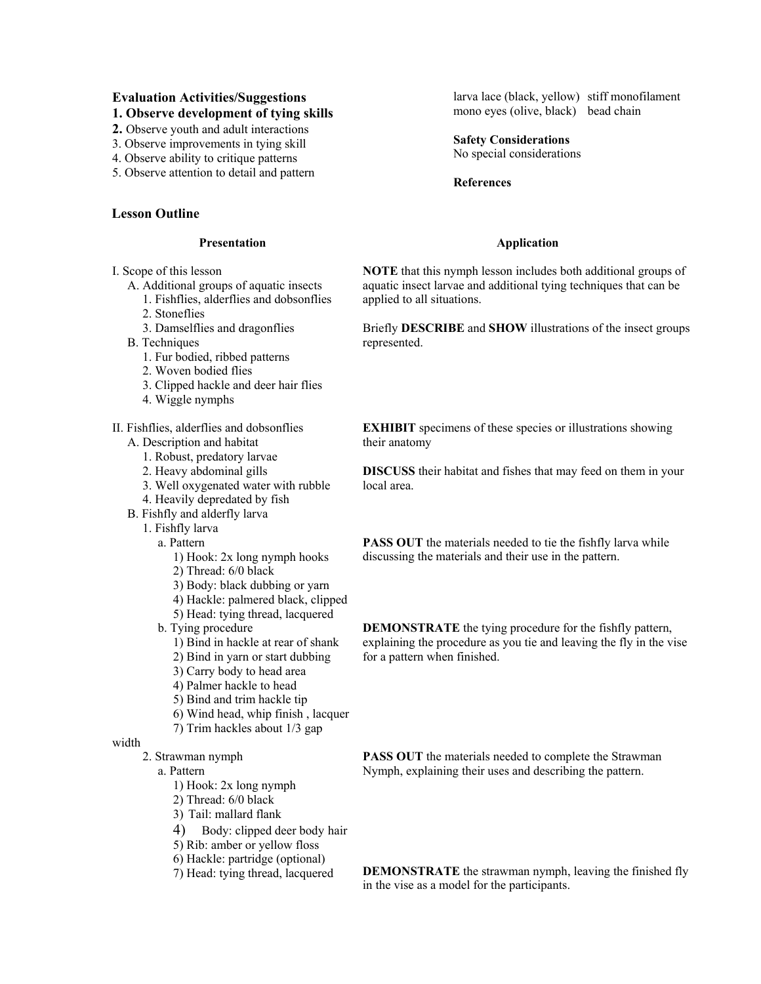# **Evaluation Activities/Suggestions**

- **1. Observe development of tying skills**
- **2.** Observe youth and adult interactions
- 3. Observe improvements in tying skill
- 4. Observe ability to critique patterns
- 5. Observe attention to detail and pattern

# **Lesson Outline**

### **Presentation**

I. Scope of this lesson

- A. Additional groups of aquatic insects 1. Fishflies, alderflies and dobsonflies
	-
	- 2. Stoneflies
	- 3. Damselflies and dragonflies
- B. Techniques
	- 1. Fur bodied, ribbed patterns
	- 2. Woven bodied flies
	- 3. Clipped hackle and deer hair flies
	- 4. Wiggle nymphs
- II. Fishflies, alderflies and dobsonflies
	- A. Description and habitat
		- 1. Robust, predatory larvae
		- 2. Heavy abdominal gills
		- 3. Well oxygenated water with rubble
		- 4. Heavily depredated by fish
	- B. Fishfly and alderfly larva
		- 1. Fishfly larva
			- a. Pattern
				- 1) Hook: 2x long nymph hooks
				- 2) Thread: 6/0 black
				- 3) Body: black dubbing or yarn
				- 4) Hackle: palmered black, clipped
				- 5) Head: tying thread, lacquered
			- b. Tying procedure
				- 1) Bind in hackle at rear of shank
				- 2) Bind in yarn or start dubbing
				- 3) Carry body to head area
				- 4) Palmer hackle to head
				- 5) Bind and trim hackle tip
				- 6) Wind head, whip finish , lacquer
				- 7) Trim hackles about 1/3 gap

# width

- 2. Strawman nymph
	- a. Pattern
		- 1) Hook: 2x long nymph
		- 2) Thread: 6/0 black
		- 3) Tail: mallard flank
		- 4) Body: clipped deer body hair
		- 5) Rib: amber or yellow floss
		- 6) Hackle: partridge (optional)
		- 7) Head: tying thread, lacquered

larva lace (black, yellow) stiff monofilament mono eyes (olive, black) bead chain

# **Safety Considerations**

No special considerations

## **References**

# **Application**

**NOTE** that this nymph lesson includes both additional groups of aquatic insect larvae and additional tying techniques that can be applied to all situations.

Briefly **DESCRIBE** and **SHOW** illustrations of the insect groups represented.

**EXHIBIT** specimens of these species or illustrations showing their anatomy

**DISCUSS** their habitat and fishes that may feed on them in your local area.

**PASS OUT** the materials needed to tie the fishfly larva while discussing the materials and their use in the pattern.

**DEMONSTRATE** the tying procedure for the fishfly pattern, explaining the procedure as you tie and leaving the fly in the vise for a pattern when finished.

**PASS OUT** the materials needed to complete the Strawman Nymph, explaining their uses and describing the pattern.

**DEMONSTRATE** the strawman nymph, leaving the finished fly in the vise as a model for the participants.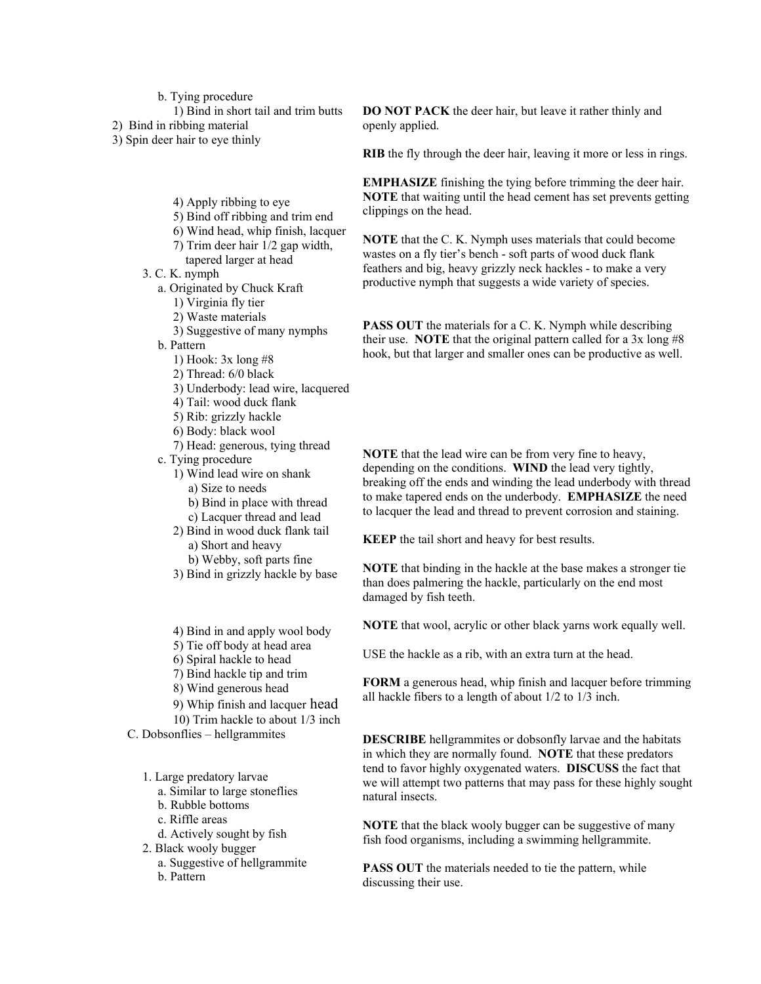b. Tying procedure

1) Bind in short tail and trim butts

2) Bind in ribbing material

3) Spin deer hair to eye thinly

- 4) Apply ribbing to eye
- 5) Bind off ribbing and trim end
- 6) Wind head, whip finish, lacquer
- 7) Trim deer hair 1/2 gap width, tapered larger at head
- 3. C. K. nymph
	- a. Originated by Chuck Kraft
		- 1) Virginia fly tier
		- 2) Waste materials
		- 3) Suggestive of many nymphs
	- b. Pattern
		- 1) Hook: 3x long #8
		- 2) Thread: 6/0 black
		- 3) Underbody: lead wire, lacquered
		- 4) Tail: wood duck flank
		- 5) Rib: grizzly hackle
		- 6) Body: black wool
		- 7) Head: generous, tying thread
	- c. Tying procedure
		- 1) Wind lead wire on shank a) Size to needs
			-
			- b) Bind in place with thread c) Lacquer thread and lead
		- 2) Bind in wood duck flank tail a) Short and heavy
			-
		- b) Webby, soft parts fine 3) Bind in grizzly hackle by base
		- 4) Bind in and apply wool body
		- 5) Tie off body at head area
		- 6) Spiral hackle to head
		- 7) Bind hackle tip and trim
		- 8) Wind generous head
		- 9) Whip finish and lacquer head
	- 10) Trim hackle to about 1/3 inch

C. Dobsonflies – hellgrammites

- 1. Large predatory larvae
	- a. Similar to large stoneflies
	- b. Rubble bottoms
	- c. Riffle areas
	- d. Actively sought by fish
- 2. Black wooly bugger
	- a. Suggestive of hellgrammite
	- b. Pattern

**DO NOT PACK** the deer hair, but leave it rather thinly and openly applied.

**RIB** the fly through the deer hair, leaving it more or less in rings.

**EMPHASIZE** finishing the tying before trimming the deer hair. **NOTE** that waiting until the head cement has set prevents getting clippings on the head.

**NOTE** that the C. K. Nymph uses materials that could become wastes on a fly tier's bench - soft parts of wood duck flank feathers and big, heavy grizzly neck hackles - to make a very productive nymph that suggests a wide variety of species.

**PASS OUT** the materials for a C. K. Nymph while describing their use. **NOTE** that the original pattern called for a 3x long #8 hook, but that larger and smaller ones can be productive as well.

**NOTE** that the lead wire can be from very fine to heavy, depending on the conditions. **WIND** the lead very tightly, breaking off the ends and winding the lead underbody with thread to make tapered ends on the underbody. **EMPHASIZE** the need to lacquer the lead and thread to prevent corrosion and staining.

**KEEP** the tail short and heavy for best results.

**NOTE** that binding in the hackle at the base makes a stronger tie than does palmering the hackle, particularly on the end most damaged by fish teeth.

**NOTE** that wool, acrylic or other black yarns work equally well.

USE the hackle as a rib, with an extra turn at the head.

**FORM** a generous head, whip finish and lacquer before trimming all hackle fibers to a length of about 1/2 to 1/3 inch.

**DESCRIBE** hellgrammites or dobsonfly larvae and the habitats in which they are normally found. **NOTE** that these predators tend to favor highly oxygenated waters. **DISCUSS** the fact that we will attempt two patterns that may pass for these highly sought natural insects.

**NOTE** that the black wooly bugger can be suggestive of many fish food organisms, including a swimming hellgrammite.

**PASS OUT** the materials needed to tie the pattern, while discussing their use.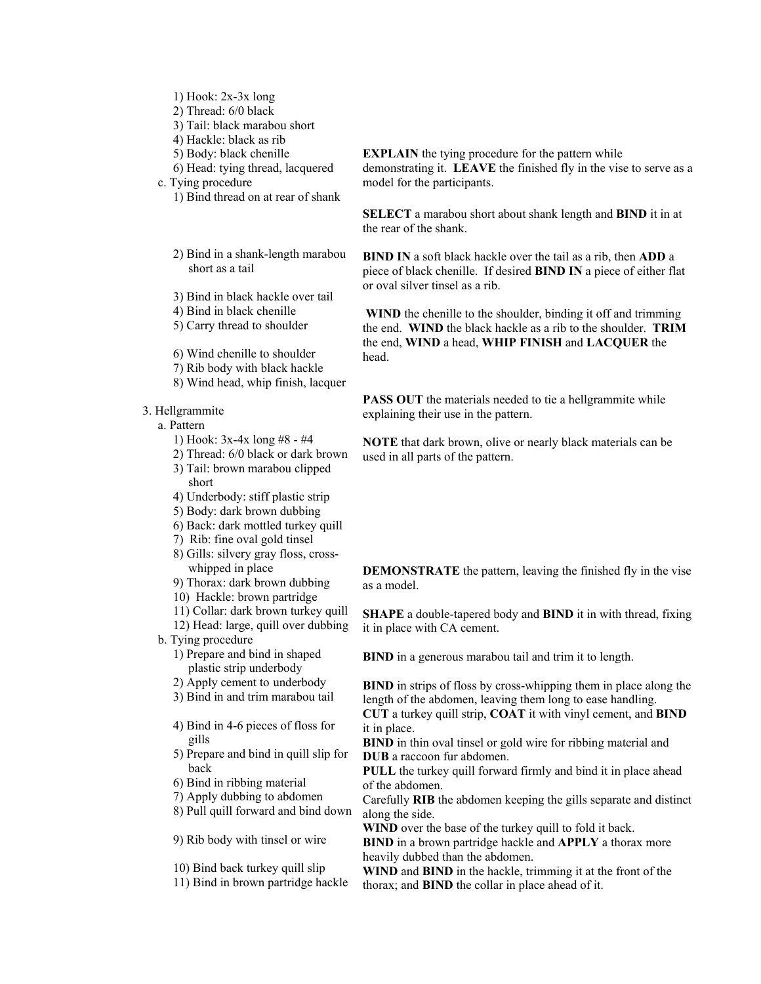- 1) Hook: 2x-3x long
- 2) Thread: 6/0 black
- 3) Tail: black marabou short
- 4) Hackle: black as rib
- 5) Body: black chenille
- 6) Head: tying thread, lacquered
- c. Tying procedure 1) Bind thread on at rear of shank
	- 2) Bind in a shank-length marabou short as a tail
	- 3) Bind in black hackle over tail
	- 4) Bind in black chenille
	- 5) Carry thread to shoulder
	- 6) Wind chenille to shoulder
	- 7) Rib body with black hackle
	- 8) Wind head, whip finish, lacquer
- 3. Hellgrammite
	- a. Pattern
		- 1) Hook: 3x-4x long #8 #4
		- 2) Thread: 6/0 black or dark brown 3) Tail: brown marabou clipped
		- short 4) Underbody: stiff plastic strip
		- 5) Body: dark brown dubbing
		-
		- 6) Back: dark mottled turkey quill
		- 7) Rib: fine oval gold tinsel
		- 8) Gills: silvery gray floss, crosswhipped in place
		- 9) Thorax: dark brown dubbing
		- 10) Hackle: brown partridge
		- 11) Collar: dark brown turkey quill
		- 12) Head: large, quill over dubbing
	- b. Tying procedure
		- 1) Prepare and bind in shaped plastic strip underbody
		- 2) Apply cement to underbody
		- 3) Bind in and trim marabou tail
		- 4) Bind in 4-6 pieces of floss for gills
		- 5) Prepare and bind in quill slip for back
		- 6) Bind in ribbing material
		- 7) Apply dubbing to abdomen
		- 8) Pull quill forward and bind down

9) Rib body with tinsel or wire

- 10) Bind back turkey quill slip
- 11) Bind in brown partridge hackle

**EXPLAIN** the tying procedure for the pattern while demonstrating it. **LEAVE** the finished fly in the vise to serve as a model for the participants.

**SELECT** a marabou short about shank length and **BIND** it in at the rear of the shank.

**BIND IN** a soft black hackle over the tail as a rib, then **ADD** a piece of black chenille. If desired **BIND IN** a piece of either flat or oval silver tinsel as a rib.

**WIND** the chenille to the shoulder, binding it off and trimming the end. **WIND** the black hackle as a rib to the shoulder. **TRIM** the end, **WIND** a head, **WHIP FINISH** and **LACQUER** the head.

**PASS OUT** the materials needed to tie a hellgrammite while explaining their use in the pattern.

**NOTE** that dark brown, olive or nearly black materials can be used in all parts of the pattern.

**DEMONSTRATE** the pattern, leaving the finished fly in the vise as a model.

**SHAPE** a double-tapered body and **BIND** it in with thread, fixing it in place with CA cement.

**BIND** in a generous marabou tail and trim it to length.

**BIND** in strips of floss by cross-whipping them in place along the length of the abdomen, leaving them long to ease handling. **CUT** a turkey quill strip, **COAT** it with vinyl cement, and **BIND**

it in place.

**BIND** in thin oval tinsel or gold wire for ribbing material and **DUB** a raccoon fur abdomen.

**PULL** the turkey quill forward firmly and bind it in place ahead of the abdomen.

Carefully **RIB** the abdomen keeping the gills separate and distinct along the side.

**WIND** over the base of the turkey quill to fold it back.

**BIND** in a brown partridge hackle and **APPLY** a thorax more heavily dubbed than the abdomen.

**WIND** and **BIND** in the hackle, trimming it at the front of the thorax; and **BIND** the collar in place ahead of it.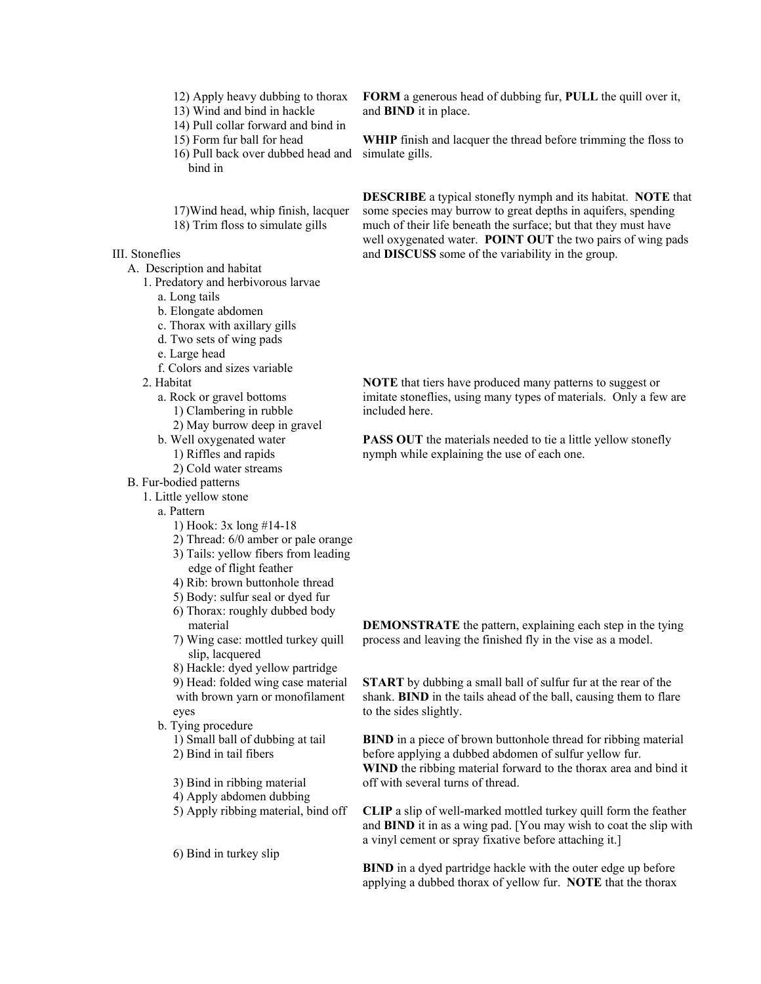- 12) Apply heavy dubbing to thorax
- 13) Wind and bind in hackle
- 14) Pull collar forward and bind in
- 15) Form fur ball for head
- 16) Pull back over dubbed head and bind in

 17)Wind head, whip finish, lacquer 18) Trim floss to simulate gills

III. Stoneflies

- A. Description and habitat
	- 1. Predatory and herbivorous larvae
		- a. Long tails
		- b. Elongate abdomen
		- c. Thorax with axillary gills
		- d. Two sets of wing pads
		- e. Large head
		- f. Colors and sizes variable
	- 2. Habitat
		- a. Rock or gravel bottoms
			- 1) Clambering in rubble
			- 2) May burrow deep in gravel
		- b. Well oxygenated water
			- 1) Riffles and rapids
			- 2) Cold water streams

#### B. Fur-bodied patterns

- 1. Little yellow stone
	- a. Pattern
		- 1) Hook: 3x long #14-18
		- 2) Thread: 6/0 amber or pale orange
		- 3) Tails: yellow fibers from leading edge of flight feather
		- 4) Rib: brown buttonhole thread
		- 5) Body: sulfur seal or dyed fur
		- 6) Thorax: roughly dubbed body material
		- 7) Wing case: mottled turkey quill slip, lacquered
		- 8) Hackle: dyed yellow partridge

9) Head: folded wing case material with brown yarn or monofilament eyes

- b. Tying procedure
	- 1) Small ball of dubbing at tail
	- 2) Bind in tail fibers
	- 3) Bind in ribbing material
	- 4) Apply abdomen dubbing
	- 5) Apply ribbing material, bind off
	- 6) Bind in turkey slip

**FORM** a generous head of dubbing fur, **PULL** the quill over it, and **BIND** it in place.

**WHIP** finish and lacquer the thread before trimming the floss to simulate gills.

**DESCRIBE** a typical stonefly nymph and its habitat. **NOTE** that some species may burrow to great depths in aquifers, spending much of their life beneath the surface; but that they must have well oxygenated water. **POINT OUT** the two pairs of wing pads and **DISCUSS** some of the variability in the group.

**NOTE** that tiers have produced many patterns to suggest or imitate stoneflies, using many types of materials. Only a few are included here.

**PASS OUT** the materials needed to tie a little yellow stonefly nymph while explaining the use of each one.

**DEMONSTRATE** the pattern, explaining each step in the tying process and leaving the finished fly in the vise as a model.

**START** by dubbing a small ball of sulfur fur at the rear of the shank. **BIND** in the tails ahead of the ball, causing them to flare to the sides slightly.

**BIND** in a piece of brown buttonhole thread for ribbing material before applying a dubbed abdomen of sulfur yellow fur. **WIND** the ribbing material forward to the thorax area and bind it off with several turns of thread.

**CLIP** a slip of well-marked mottled turkey quill form the feather and **BIND** it in as a wing pad. [You may wish to coat the slip with a vinyl cement or spray fixative before attaching it.]

**BIND** in a dyed partridge hackle with the outer edge up before applying a dubbed thorax of yellow fur. **NOTE** that the thorax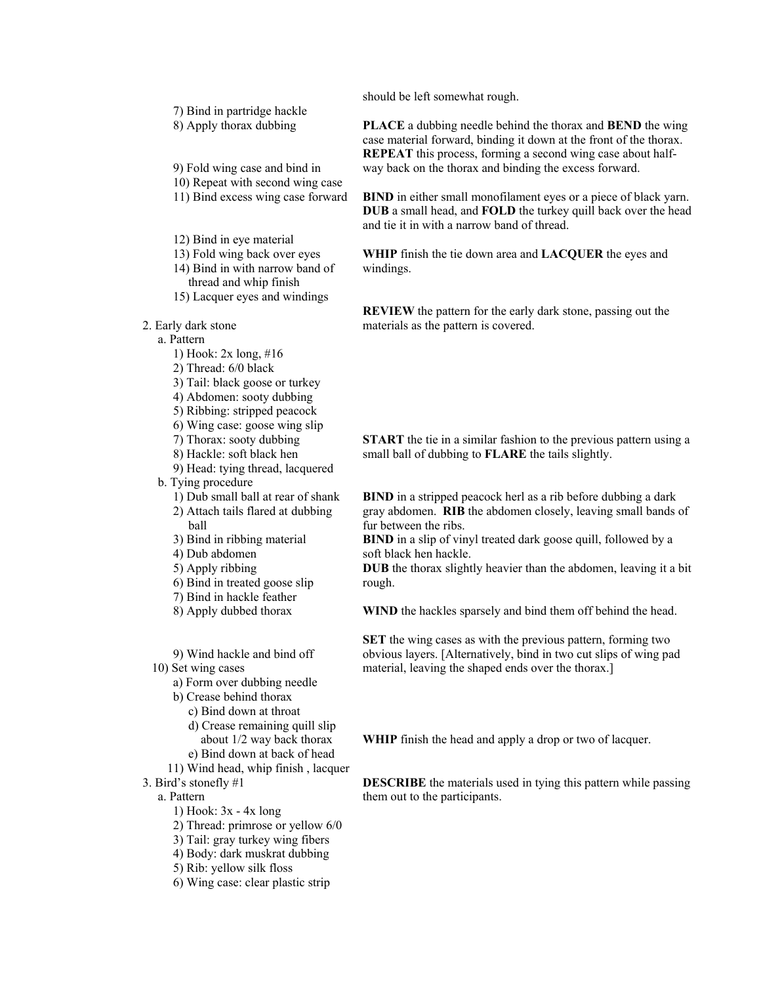7) Bind in partridge hackle

8) Apply thorax dubbing

9) Fold wing case and bind in

10) Repeat with second wing case

11) Bind excess wing case forward

12) Bind in eye material

13) Fold wing back over eyes 14) Bind in with narrow band of

thread and whip finish

15) Lacquer eyes and windings

2. Early dark stone

a. Pattern

1) Hook: 2x long, #16

2) Thread: 6/0 black

3) Tail: black goose or turkey

4) Abdomen: sooty dubbing

5) Ribbing: stripped peacock

6) Wing case: goose wing slip

7) Thorax: sooty dubbing

8) Hackle: soft black hen

9) Head: tying thread, lacquered

b. Tying procedure

1) Dub small ball at rear of shank

- 2) Attach tails flared at dubbing ball
- 3) Bind in ribbing material

4) Dub abdomen

5) Apply ribbing

6) Bind in treated goose slip

7) Bind in hackle feather

8) Apply dubbed thorax

9) Wind hackle and bind off

10) Set wing cases

a) Form over dubbing needle

b) Crease behind thorax

c) Bind down at throat

d) Crease remaining quill slip

about 1/2 way back thorax

e) Bind down at back of head

 11) Wind head, whip finish , lacquer 3. Bird's stonefly #1

a. Pattern

1) Hook: 3x - 4x long

2) Thread: primrose or yellow 6/0

3) Tail: gray turkey wing fibers

4) Body: dark muskrat dubbing

5) Rib: yellow silk floss

6) Wing case: clear plastic strip

should be left somewhat rough.

**PLACE** a dubbing needle behind the thorax and **BEND** the wing case material forward, binding it down at the front of the thorax. **REPEAT** this process, forming a second wing case about halfway back on the thorax and binding the excess forward.

**BIND** in either small monofilament eyes or a piece of black yarn. **DUB** a small head, and **FOLD** the turkey quill back over the head and tie it in with a narrow band of thread.

**WHIP** finish the tie down area and **LACQUER** the eyes and windings.

**REVIEW** the pattern for the early dark stone, passing out the materials as the pattern is covered.

**START** the tie in a similar fashion to the previous pattern using a small ball of dubbing to **FLARE** the tails slightly.

**BIND** in a stripped peacock herl as a rib before dubbing a dark gray abdomen. **RIB** the abdomen closely, leaving small bands of fur between the ribs.

**BIND** in a slip of vinyl treated dark goose quill, followed by a soft black hen hackle.

**DUB** the thorax slightly heavier than the abdomen, leaving it a bit rough.

**WIND** the hackles sparsely and bind them off behind the head.

**SET** the wing cases as with the previous pattern, forming two obvious layers. [Alternatively, bind in two cut slips of wing pad material, leaving the shaped ends over the thorax.]

**WHIP** finish the head and apply a drop or two of lacquer.

**DESCRIBE** the materials used in tying this pattern while passing them out to the participants.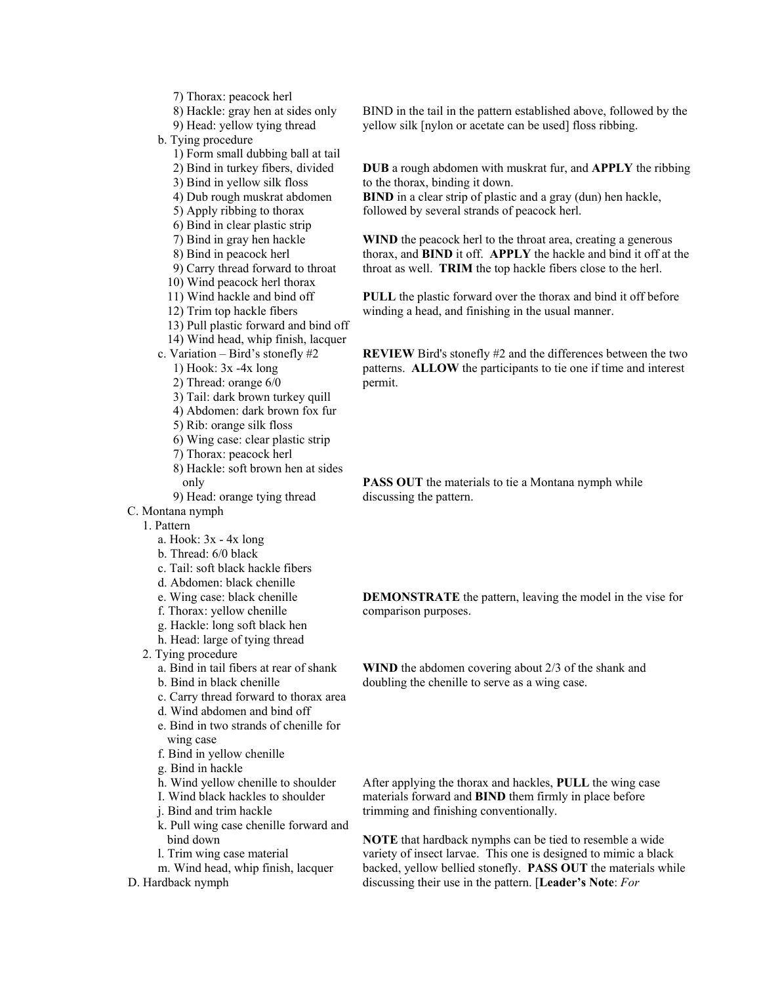7) Thorax: peacock herl

8) Hackle: gray hen at sides only

9) Head: yellow tying thread

b. Tying procedure

- 1) Form small dubbing ball at tail
- 2) Bind in turkey fibers, divided
- 3) Bind in yellow silk floss
- 4) Dub rough muskrat abdomen
- 5) Apply ribbing to thorax
- 6) Bind in clear plastic strip
- 7) Bind in gray hen hackle
- 8) Bind in peacock herl
- 9) Carry thread forward to throat
- 10) Wind peacock herl thorax
- 11) Wind hackle and bind off
- 12) Trim top hackle fibers
- 13) Pull plastic forward and bind off
- 14) Wind head, whip finish, lacquer
- c. Variation Bird's stonefly #2
	- 1) Hook: 3x -4x long
	- 2) Thread: orange 6/0
	- 3) Tail: dark brown turkey quill
	- 4) Abdomen: dark brown fox fur
	- 5) Rib: orange silk floss
	- 6) Wing case: clear plastic strip
	- 7) Thorax: peacock herl
	- 8) Hackle: soft brown hen at sides only
	- 9) Head: orange tying thread
- C. Montana nymph

1. Pattern

- a. Hook: 3x 4x long
- b. Thread: 6/0 black
- c. Tail: soft black hackle fibers
- d. Abdomen: black chenille
- e. Wing case: black chenille
- f. Thorax: yellow chenille
- g. Hackle: long soft black hen
- h. Head: large of tying thread
- 2. Tying procedure
	- a. Bind in tail fibers at rear of shank
	- b. Bind in black chenille
	- c. Carry thread forward to thorax area
	- d. Wind abdomen and bind off
	- e. Bind in two strands of chenille for wing case
	- f. Bind in yellow chenille
	- g. Bind in hackle
	- h. Wind yellow chenille to shoulder
	- I. Wind black hackles to shoulder
	- j. Bind and trim hackle
	- k. Pull wing case chenille forward and bind down
	- l. Trim wing case material
	- m. Wind head, whip finish, lacquer
- D. Hardback nymph

BIND in the tail in the pattern established above, followed by the yellow silk [nylon or acetate can be used] floss ribbing.

**DUB** a rough abdomen with muskrat fur, and **APPLY** the ribbing to the thorax, binding it down.

**BIND** in a clear strip of plastic and a gray (dun) hen hackle, followed by several strands of peacock herl.

**WIND** the peacock herl to the throat area, creating a generous thorax, and **BIND** it off. **APPLY** the hackle and bind it off at the throat as well. **TRIM** the top hackle fibers close to the herl.

**PULL** the plastic forward over the thorax and bind it off before winding a head, and finishing in the usual manner.

**REVIEW** Bird's stonefly #2 and the differences between the two patterns. **ALLOW** the participants to tie one if time and interest permit.

**PASS OUT** the materials to tie a Montana nymph while discussing the pattern.

**DEMONSTRATE** the pattern, leaving the model in the vise for comparison purposes.

**WIND** the abdomen covering about 2/3 of the shank and doubling the chenille to serve as a wing case.

After applying the thorax and hackles, **PULL** the wing case materials forward and **BIND** them firmly in place before trimming and finishing conventionally.

**NOTE** that hardback nymphs can be tied to resemble a wide variety of insect larvae. This one is designed to mimic a black backed, yellow bellied stonefly. **PASS OUT** the materials while discussing their use in the pattern. [**Leader's Note**: *For*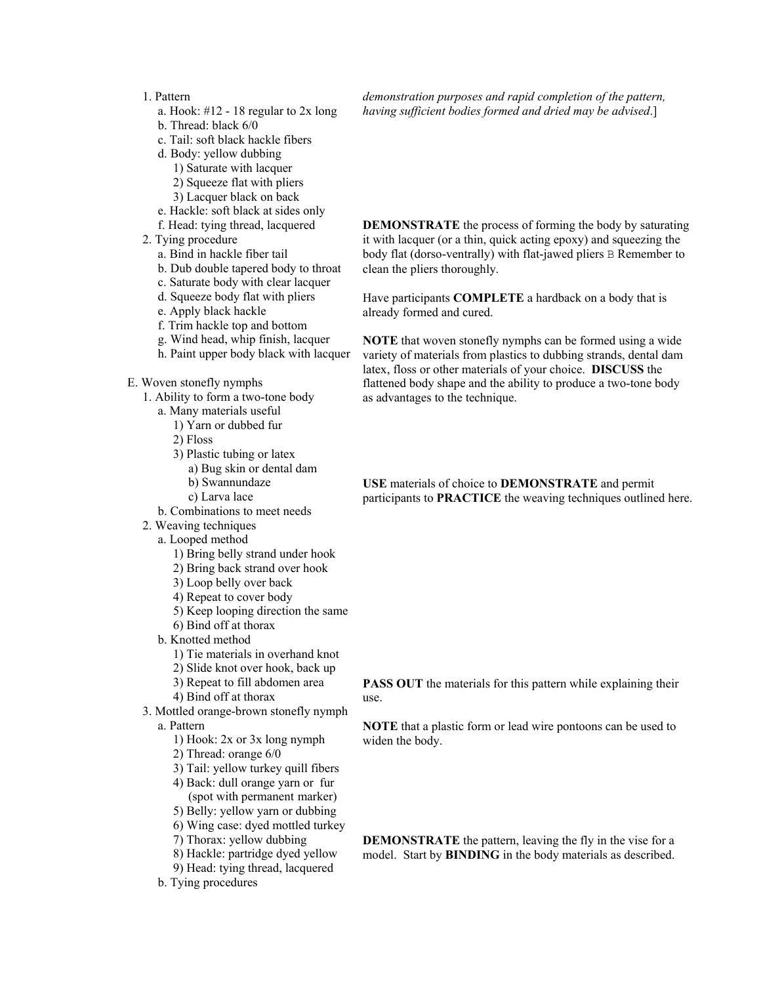### 1. Pattern

- a. Hook: #12 18 regular to 2x long
- b. Thread: black 6/0
- c. Tail: soft black hackle fibers
- d. Body: yellow dubbing
	- 1) Saturate with lacquer
	- 2) Squeeze flat with pliers
	- 3) Lacquer black on back
- e. Hackle: soft black at sides only
- f. Head: tying thread, lacquered
- 2. Tying procedure
	- a. Bind in hackle fiber tail
	- b. Dub double tapered body to throat
	- c. Saturate body with clear lacquer
	- d. Squeeze body flat with pliers
	- e. Apply black hackle
	- f. Trim hackle top and bottom
	- g. Wind head, whip finish, lacquer
	- h. Paint upper body black with lacquer
- E. Woven stonefly nymphs
	- 1. Ability to form a two-tone body
		- a. Many materials useful
			- 1) Yarn or dubbed fur
			- 2) Floss
			- 3) Plastic tubing or latex
				- a) Bug skin or dental dam b) Swannundaze
				- c) Larva lace
		- b. Combinations to meet needs
	- 2. Weaving techniques
		- a. Looped method
			- 1) Bring belly strand under hook
			- 2) Bring back strand over hook
			- 3) Loop belly over back
			- 4) Repeat to cover body
			- 5) Keep looping direction the same
			- 6) Bind off at thorax
		- b. Knotted method
			- 1) Tie materials in overhand knot
			- 2) Slide knot over hook, back up
			- 3) Repeat to fill abdomen area 4) Bind off at thorax
				-
	- 3. Mottled orange-brown stonefly nymph a. Pattern
		- 1) Hook: 2x or 3x long nymph
		- 2) Thread: orange 6/0
		- 3) Tail: yellow turkey quill fibers
		- 4) Back: dull orange yarn or fur
		- (spot with permanent marker) 5) Belly: yellow yarn or dubbing
		- 6) Wing case: dyed mottled turkey
		- 7) Thorax: yellow dubbing
		- 8) Hackle: partridge dyed yellow
		- 9) Head: tying thread, lacquered
		- b. Tying procedures

*demonstration purposes and rapid completion of the pattern, having sufficient bodies formed and dried may be advised*.]

**DEMONSTRATE** the process of forming the body by saturating it with lacquer (or a thin, quick acting epoxy) and squeezing the body flat (dorso-ventrally) with flat-jawed pliers B Remember to clean the pliers thoroughly.

Have participants **COMPLETE** a hardback on a body that is already formed and cured.

**NOTE** that woven stonefly nymphs can be formed using a wide variety of materials from plastics to dubbing strands, dental dam latex, floss or other materials of your choice. **DISCUSS** the flattened body shape and the ability to produce a two-tone body as advantages to the technique.

**USE** materials of choice to **DEMONSTRATE** and permit participants to **PRACTICE** the weaving techniques outlined here.

**PASS OUT** the materials for this pattern while explaining their use.

**NOTE** that a plastic form or lead wire pontoons can be used to widen the body.

**DEMONSTRATE** the pattern, leaving the fly in the vise for a model. Start by **BINDING** in the body materials as described.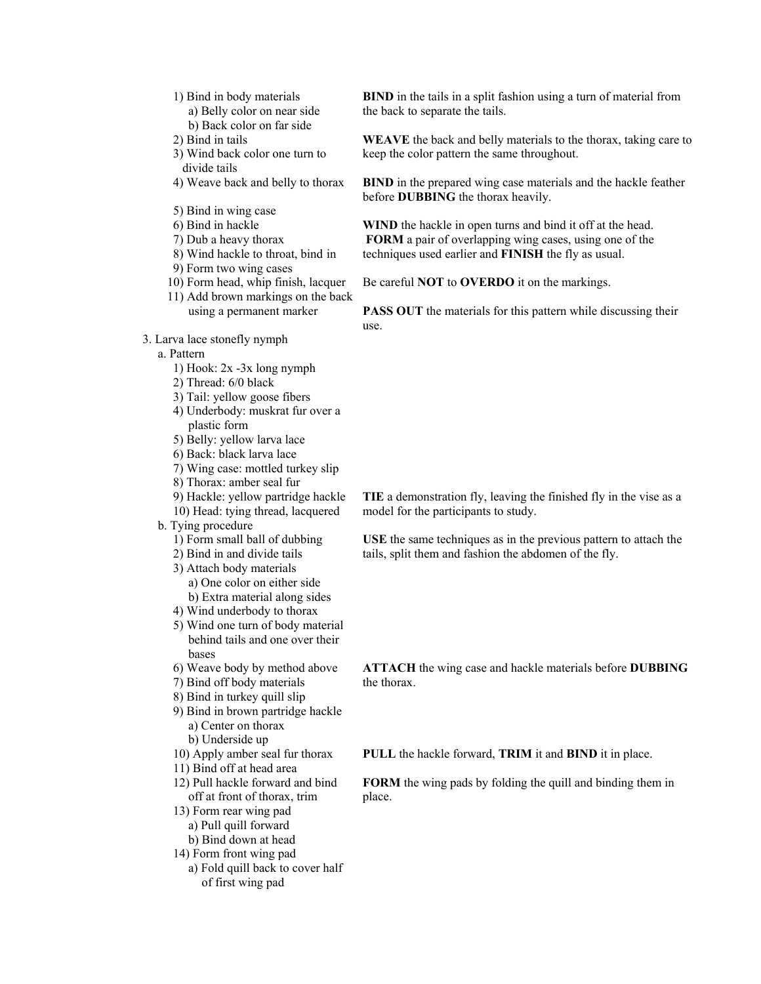- 1) Bind in body materials
	- a) Belly color on near side b) Back color on far side
- 2) Bind in tails
- 3) Wind back color one turn to divide tails
- 4) Weave back and belly to thorax
- 5) Bind in wing case
- 6) Bind in hackle
- 7) Dub a heavy thorax
- 8) Wind hackle to throat, bind in
- 9) Form two wing cases
- 10) Form head, whip finish, lacquer
- 11) Add brown markings on the back using a permanent marker
- 3. Larva lace stonefly nymph
	- a. Pattern
		- 1) Hook: 2x -3x long nymph
		- 2) Thread: 6/0 black
		- 3) Tail: yellow goose fibers
		- 4) Underbody: muskrat fur over a plastic form
		- 5) Belly: yellow larva lace
		- 6) Back: black larva lace
		- 7) Wing case: mottled turkey slip
		- 8) Thorax: amber seal fur
		- 9) Hackle: yellow partridge hackle
		- 10) Head: tying thread, lacquered
	- b. Tying procedure
		- 1) Form small ball of dubbing
		- 2) Bind in and divide tails
		- 3) Attach body materials a) One color on either side b) Extra material along sides
		- 4) Wind underbody to thorax
		- 5) Wind one turn of body material
		- behind tails and one over their bases
		- 6) Weave body by method above
		- 7) Bind off body materials
		- 8) Bind in turkey quill slip
		- 9) Bind in brown partridge hackle a) Center on thorax b) Underside up
		- 10) Apply amber seal fur thorax
		- 11) Bind off at head area
		- 12) Pull hackle forward and bind off at front of thorax, trim
		- 13) Form rear wing pad
			- a) Pull quill forward
		- b) Bind down at head
		- 14) Form front wing pad
			- a) Fold quill back to cover half of first wing pad

**BIND** in the tails in a split fashion using a turn of material from the back to separate the tails.

**WEAVE** the back and belly materials to the thorax, taking care to keep the color pattern the same throughout.

**BIND** in the prepared wing case materials and the hackle feather before **DUBBING** the thorax heavily.

**WIND** the hackle in open turns and bind it off at the head. **FORM** a pair of overlapping wing cases, using one of the techniques used earlier and **FINISH** the fly as usual.

Be careful **NOT** to **OVERDO** it on the markings.

**PASS OUT** the materials for this pattern while discussing their use.

**TIE** a demonstration fly, leaving the finished fly in the vise as a model for the participants to study.

**USE** the same techniques as in the previous pattern to attach the tails, split them and fashion the abdomen of the fly.

the thorax.

**ATTACH** the wing case and hackle materials before **DUBBING**

**PULL** the hackle forward, **TRIM** it and **BIND** it in place.

**FORM** the wing pads by folding the quill and binding them in place.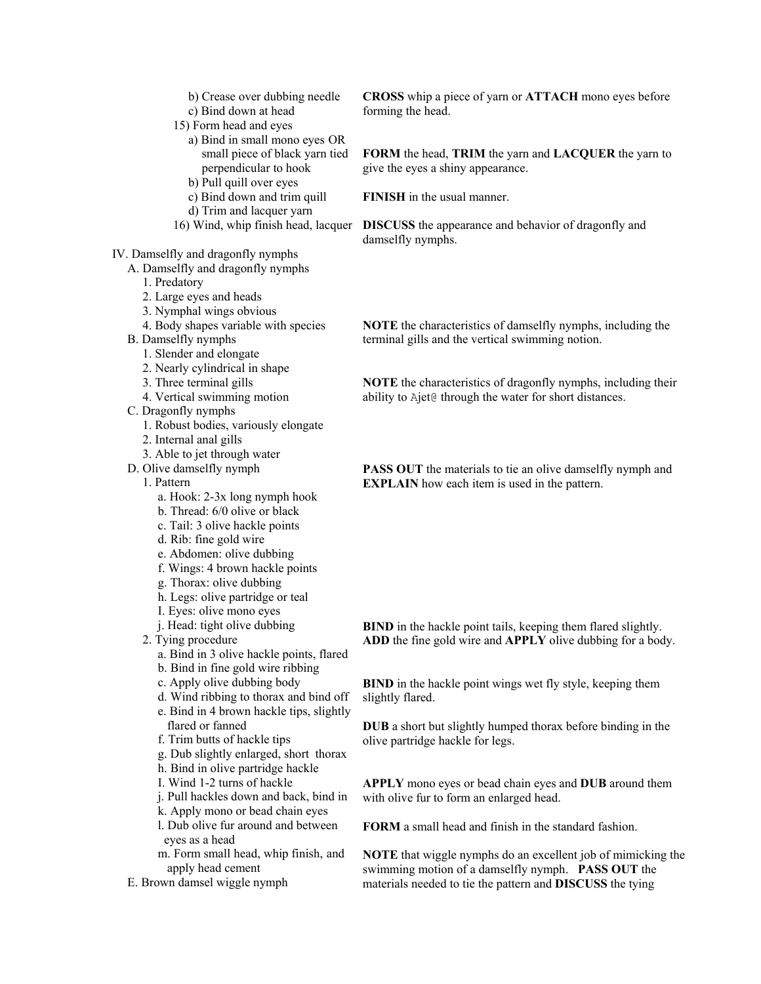- b) Crease over dubbing needle
- c) Bind down at head
- 15) Form head and eyes
	- a) Bind in small mono eyes OR small piece of black yarn tied perpendicular to hook
	- b) Pull quill over eyes
	- c) Bind down and trim quill
	- d) Trim and lacquer yarn
- 
- IV. Damselfly and dragonfly nymphs
- A. Damselfly and dragonfly nymphs
	- 1. Predatory
	- 2. Large eyes and heads
	- 3. Nymphal wings obvious
	- 4. Body shapes variable with species
	- B. Damselfly nymphs
		- 1. Slender and elongate
		- 2. Nearly cylindrical in shape
		- 3. Three terminal gills
		- 4. Vertical swimming motion
	- C. Dragonfly nymphs
		- 1. Robust bodies, variously elongate
		- 2. Internal anal gills
		- 3. Able to jet through water
	- D. Olive damselfly nymph

#### 1. Pattern

- a. Hook: 2-3x long nymph hook
- b. Thread: 6/0 olive or black
- c. Tail: 3 olive hackle points
- d. Rib: fine gold wire
- e. Abdomen: olive dubbing
- f. Wings: 4 brown hackle points
- g. Thorax: olive dubbing
- h. Legs: olive partridge or teal
- I. Eyes: olive mono eyes
- j. Head: tight olive dubbing
- 2. Tying procedure
	- a. Bind in 3 olive hackle points, flared
	- b. Bind in fine gold wire ribbing
	- c. Apply olive dubbing body
	- d. Wind ribbing to thorax and bind off
	- e. Bind in 4 brown hackle tips, slightly flared or fanned
	- f. Trim butts of hackle tips
	- g. Dub slightly enlarged, short thorax
	- h. Bind in olive partridge hackle
	- I. Wind 1-2 turns of hackle
	- j. Pull hackles down and back, bind in
	- k. Apply mono or bead chain eyes
	- l. Dub olive fur around and between eyes as a head
	- m. Form small head, whip finish, and apply head cement
- E. Brown damsel wiggle nymph

**CROSS** whip a piece of yarn or **ATTACH** mono eyes before forming the head.

**FORM** the head, **TRIM** the yarn and **LACQUER** the yarn to give the eyes a shiny appearance.

**FINISH** in the usual manner.

16) Wind, whip finish head, lacquer **DISCUSS** the appearance and behavior of dragonfly and damselfly nymphs.

> **NOTE** the characteristics of damselfly nymphs, including the terminal gills and the vertical swimming notion.

**NOTE** the characteristics of dragonfly nymphs, including their ability to Ajet@ through the water for short distances.

**PASS OUT** the materials to tie an olive damselfly nymph and **EXPLAIN** how each item is used in the pattern.

**BIND** in the hackle point tails, keeping them flared slightly. **ADD** the fine gold wire and **APPLY** olive dubbing for a body.

**BIND** in the hackle point wings wet fly style, keeping them slightly flared.

**DUB** a short but slightly humped thorax before binding in the olive partridge hackle for legs.

**APPLY** mono eyes or bead chain eyes and **DUB** around them with olive fur to form an enlarged head.

**FORM** a small head and finish in the standard fashion.

**NOTE** that wiggle nymphs do an excellent job of mimicking the swimming motion of a damselfly nymph. **PASS OUT** the materials needed to tie the pattern and **DISCUSS** the tying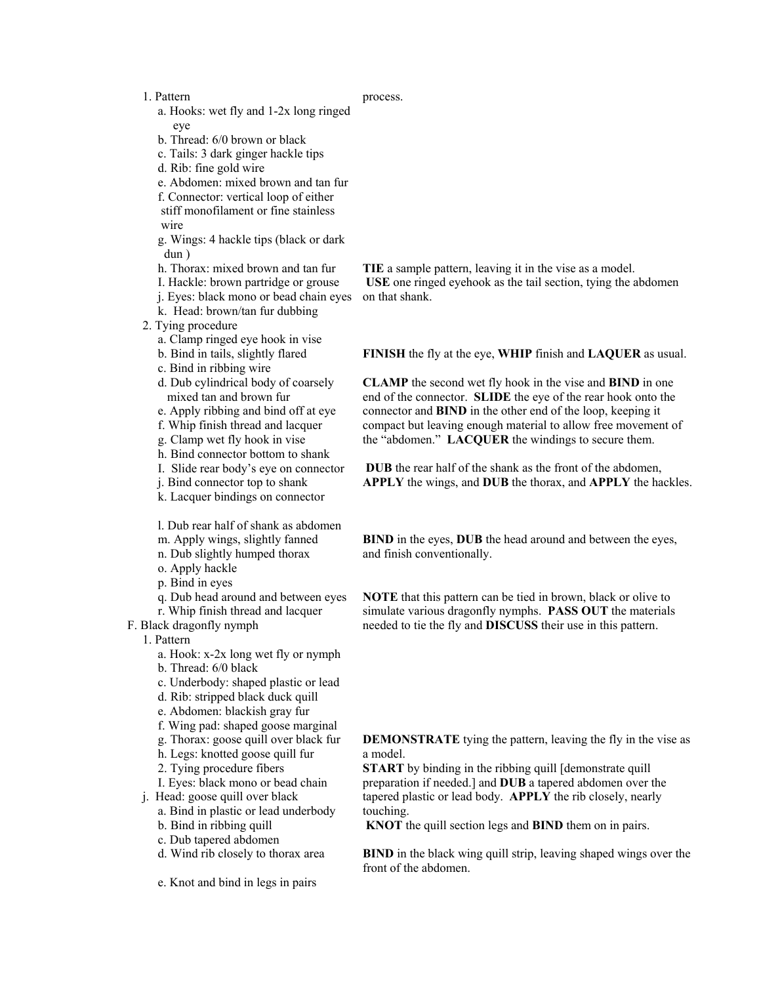#### 1. Pattern

#### process.

- a. Hooks: wet fly and 1-2x long ringed eye
- b. Thread: 6/0 brown or black
- c. Tails: 3 dark ginger hackle tips
- d. Rib: fine gold wire
- e. Abdomen: mixed brown and tan fur
- f. Connector: vertical loop of either
- stiff monofilament or fine stainless wire
- g. Wings: 4 hackle tips (black or dark dun )
- h. Thorax: mixed brown and tan fur
- I. Hackle: brown partridge or grouse
- j. Eyes: black mono or bead chain eyes
- k. Head: brown/tan fur dubbing
- 2. Tying procedure
	- a. Clamp ringed eye hook in vise
	- b. Bind in tails, slightly flared
	- c. Bind in ribbing wire
	- d. Dub cylindrical body of coarsely mixed tan and brown fur
	- e. Apply ribbing and bind off at eye
	- f. Whip finish thread and lacquer
	- g. Clamp wet fly hook in vise
	- h. Bind connector bottom to shank
	- I. Slide rear body's eye on connector
	- j. Bind connector top to shank
	- k. Lacquer bindings on connector

l. Dub rear half of shank as abdomen

- m. Apply wings, slightly fanned
- n. Dub slightly humped thorax
- o. Apply hackle
- p. Bind in eyes
- q. Dub head around and between eyes
- r. Whip finish thread and lacquer
- F. Black dragonfly nymph

1. Pattern

- a. Hook: x-2x long wet fly or nymph
- b. Thread: 6/0 black
- c. Underbody: shaped plastic or lead
- d. Rib: stripped black duck quill
- e. Abdomen: blackish gray fur
- f. Wing pad: shaped goose marginal
- g. Thorax: goose quill over black fur
- h. Legs: knotted goose quill fur
- 2. Tying procedure fibers
- I. Eyes: black mono or bead chain
- j. Head: goose quill over black
	- a. Bind in plastic or lead underbody
	- b. Bind in ribbing quill
	- c. Dub tapered abdomen d. Wind rib closely to thorax area
	- e. Knot and bind in legs in pairs

**TIE** a sample pattern, leaving it in the vise as a model. **USE** one ringed eyehook as the tail section, tying the abdomen on that shank.

**FINISH** the fly at the eye, **WHIP** finish and **LAQUER** as usual.

**CLAMP** the second wet fly hook in the vise and **BIND** in one end of the connector. **SLIDE** the eye of the rear hook onto the connector and **BIND** in the other end of the loop, keeping it compact but leaving enough material to allow free movement of the "abdomen." **LACQUER** the windings to secure them.

**DUB** the rear half of the shank as the front of the abdomen, **APPLY** the wings, and **DUB** the thorax, and **APPLY** the hackles.

**BIND** in the eyes, **DUB** the head around and between the eyes, and finish conventionally.

**NOTE** that this pattern can be tied in brown, black or olive to simulate various dragonfly nymphs. **PASS OUT** the materials needed to tie the fly and **DISCUSS** their use in this pattern.

**DEMONSTRATE** tying the pattern, leaving the fly in the vise as a model.

**START** by binding in the ribbing quill [demonstrate quill] preparation if needed.] and **DUB** a tapered abdomen over the tapered plastic or lead body. **APPLY** the rib closely, nearly touching.

**KNOT** the quill section legs and **BIND** them on in pairs.

**BIND** in the black wing quill strip, leaving shaped wings over the front of the abdomen.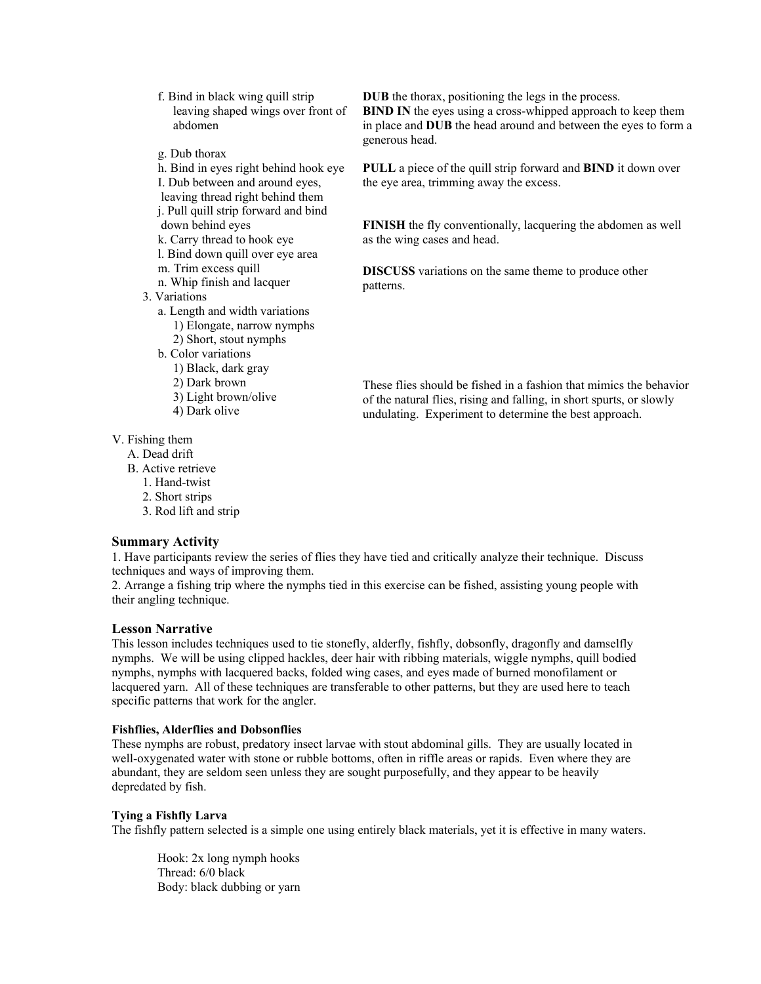f. Bind in black wing quill strip leaving shaped wings over front of abdomen

- g. Dub thorax
- h. Bind in eyes right behind hook eye
- I. Dub between and around eyes,
- leaving thread right behind them
- j. Pull quill strip forward and bind down behind eyes
- k. Carry thread to hook eye
- l. Bind down quill over eye area
- m. Trim excess quill
- n. Whip finish and lacquer
- 3. Variations
	- a. Length and width variations
		- 1) Elongate, narrow nymphs
		- 2) Short, stout nymphs
	- b. Color variations
		- 1) Black, dark gray
		- 2) Dark brown
		- 3) Light brown/olive
		- 4) Dark olive

**DUB** the thorax, positioning the legs in the process.

**BIND IN** the eyes using a cross-whipped approach to keep them in place and **DUB** the head around and between the eyes to form a generous head.

**PULL** a piece of the quill strip forward and **BIND** it down over the eye area, trimming away the excess.

**FINISH** the fly conventionally, lacquering the abdomen as well as the wing cases and head.

**DISCUSS** variations on the same theme to produce other patterns.

These flies should be fished in a fashion that mimics the behavior of the natural flies, rising and falling, in short spurts, or slowly undulating. Experiment to determine the best approach.

V. Fishing them

- A. Dead drift
- B. Active retrieve
	- 1. Hand-twist
	- 2. Short strips
	- 3. Rod lift and strip

# **Summary Activity**

1. Have participants review the series of flies they have tied and critically analyze their technique. Discuss techniques and ways of improving them.

2. Arrange a fishing trip where the nymphs tied in this exercise can be fished, assisting young people with their angling technique.

# **Lesson Narrative**

This lesson includes techniques used to tie stonefly, alderfly, fishfly, dobsonfly, dragonfly and damselfly nymphs. We will be using clipped hackles, deer hair with ribbing materials, wiggle nymphs, quill bodied nymphs, nymphs with lacquered backs, folded wing cases, and eyes made of burned monofilament or lacquered yarn. All of these techniques are transferable to other patterns, but they are used here to teach specific patterns that work for the angler.

# **Fishflies, Alderflies and Dobsonflies**

These nymphs are robust, predatory insect larvae with stout abdominal gills. They are usually located in well-oxygenated water with stone or rubble bottoms, often in riffle areas or rapids. Even where they are abundant, they are seldom seen unless they are sought purposefully, and they appear to be heavily depredated by fish.

# **Tying a Fishfly Larva**

The fishfly pattern selected is a simple one using entirely black materials, yet it is effective in many waters.

Hook: 2x long nymph hooks Thread: 6/0 black Body: black dubbing or yarn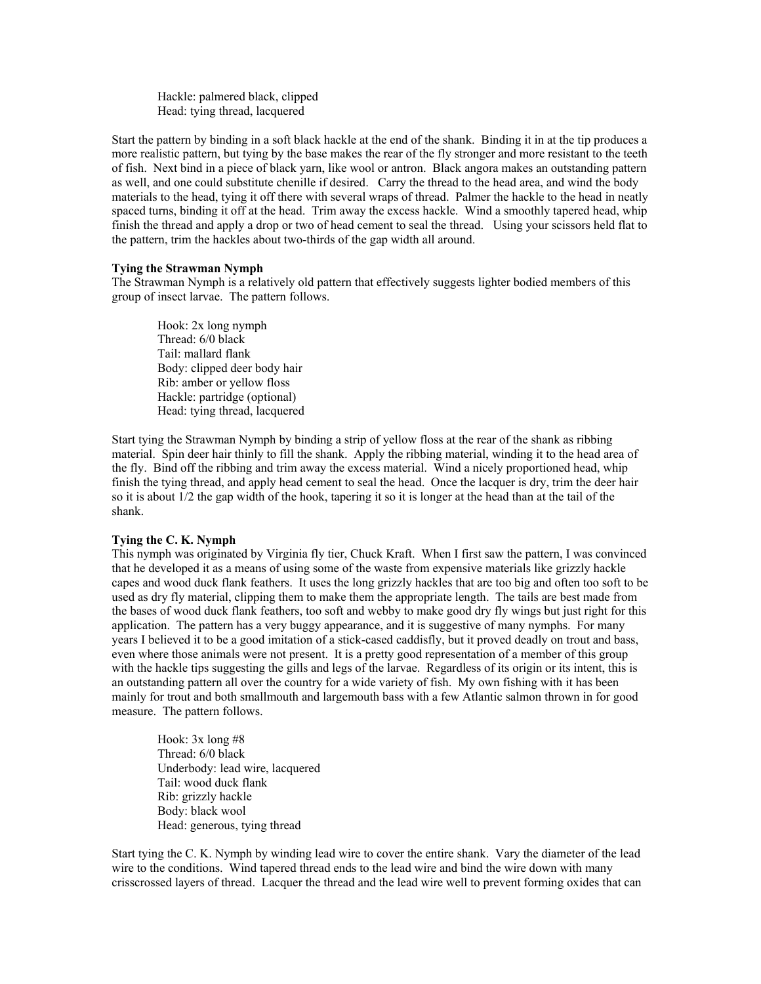Hackle: palmered black, clipped Head: tying thread, lacquered

Start the pattern by binding in a soft black hackle at the end of the shank. Binding it in at the tip produces a more realistic pattern, but tying by the base makes the rear of the fly stronger and more resistant to the teeth of fish. Next bind in a piece of black yarn, like wool or antron. Black angora makes an outstanding pattern as well, and one could substitute chenille if desired. Carry the thread to the head area, and wind the body materials to the head, tying it off there with several wraps of thread. Palmer the hackle to the head in neatly spaced turns, binding it off at the head. Trim away the excess hackle. Wind a smoothly tapered head, whip finish the thread and apply a drop or two of head cement to seal the thread. Using your scissors held flat to the pattern, trim the hackles about two-thirds of the gap width all around.

#### **Tying the Strawman Nymph**

The Strawman Nymph is a relatively old pattern that effectively suggests lighter bodied members of this group of insect larvae. The pattern follows.

Hook: 2x long nymph Thread: 6/0 black Tail: mallard flank Body: clipped deer body hair Rib: amber or yellow floss Hackle: partridge (optional) Head: tying thread, lacquered

Start tying the Strawman Nymph by binding a strip of yellow floss at the rear of the shank as ribbing material. Spin deer hair thinly to fill the shank. Apply the ribbing material, winding it to the head area of the fly. Bind off the ribbing and trim away the excess material. Wind a nicely proportioned head, whip finish the tying thread, and apply head cement to seal the head. Once the lacquer is dry, trim the deer hair so it is about 1/2 the gap width of the hook, tapering it so it is longer at the head than at the tail of the shank.

### **Tying the C. K. Nymph**

This nymph was originated by Virginia fly tier, Chuck Kraft. When I first saw the pattern, I was convinced that he developed it as a means of using some of the waste from expensive materials like grizzly hackle capes and wood duck flank feathers. It uses the long grizzly hackles that are too big and often too soft to be used as dry fly material, clipping them to make them the appropriate length. The tails are best made from the bases of wood duck flank feathers, too soft and webby to make good dry fly wings but just right for this application. The pattern has a very buggy appearance, and it is suggestive of many nymphs. For many years I believed it to be a good imitation of a stick-cased caddisfly, but it proved deadly on trout and bass, even where those animals were not present. It is a pretty good representation of a member of this group with the hackle tips suggesting the gills and legs of the larvae. Regardless of its origin or its intent, this is an outstanding pattern all over the country for a wide variety of fish. My own fishing with it has been mainly for trout and both smallmouth and largemouth bass with a few Atlantic salmon thrown in for good measure. The pattern follows.

Hook: 3x long #8 Thread: 6/0 black Underbody: lead wire, lacquered Tail: wood duck flank Rib: grizzly hackle Body: black wool Head: generous, tying thread

Start tying the C. K. Nymph by winding lead wire to cover the entire shank. Vary the diameter of the lead wire to the conditions. Wind tapered thread ends to the lead wire and bind the wire down with many crisscrossed layers of thread. Lacquer the thread and the lead wire well to prevent forming oxides that can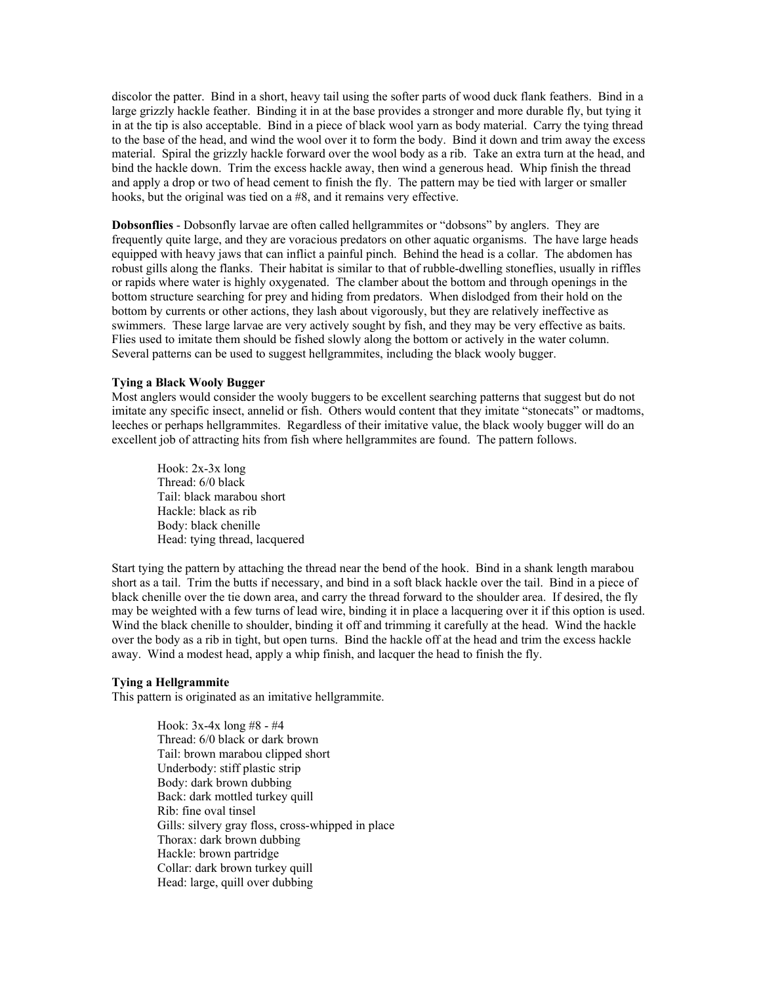discolor the patter. Bind in a short, heavy tail using the softer parts of wood duck flank feathers. Bind in a large grizzly hackle feather. Binding it in at the base provides a stronger and more durable fly, but tying it in at the tip is also acceptable. Bind in a piece of black wool yarn as body material. Carry the tying thread to the base of the head, and wind the wool over it to form the body. Bind it down and trim away the excess material. Spiral the grizzly hackle forward over the wool body as a rib. Take an extra turn at the head, and bind the hackle down. Trim the excess hackle away, then wind a generous head. Whip finish the thread and apply a drop or two of head cement to finish the fly. The pattern may be tied with larger or smaller hooks, but the original was tied on a #8, and it remains very effective.

**Dobsonflies** - Dobsonfly larvae are often called hellgrammites or "dobsons" by anglers. They are frequently quite large, and they are voracious predators on other aquatic organisms. The have large heads equipped with heavy jaws that can inflict a painful pinch. Behind the head is a collar. The abdomen has robust gills along the flanks. Their habitat is similar to that of rubble-dwelling stoneflies, usually in riffles or rapids where water is highly oxygenated. The clamber about the bottom and through openings in the bottom structure searching for prey and hiding from predators. When dislodged from their hold on the bottom by currents or other actions, they lash about vigorously, but they are relatively ineffective as swimmers. These large larvae are very actively sought by fish, and they may be very effective as baits. Flies used to imitate them should be fished slowly along the bottom or actively in the water column. Several patterns can be used to suggest hellgrammites, including the black wooly bugger.

## **Tying a Black Wooly Bugger**

Most anglers would consider the wooly buggers to be excellent searching patterns that suggest but do not imitate any specific insect, annelid or fish. Others would content that they imitate "stonecats" or madtoms, leeches or perhaps hellgrammites. Regardless of their imitative value, the black wooly bugger will do an excellent job of attracting hits from fish where hellgrammites are found. The pattern follows.

Hook: 2x-3x long Thread: 6/0 black Tail: black marabou short Hackle: black as rib Body: black chenille Head: tying thread, lacquered

Start tying the pattern by attaching the thread near the bend of the hook. Bind in a shank length marabou short as a tail. Trim the butts if necessary, and bind in a soft black hackle over the tail. Bind in a piece of black chenille over the tie down area, and carry the thread forward to the shoulder area. If desired, the fly may be weighted with a few turns of lead wire, binding it in place a lacquering over it if this option is used. Wind the black chenille to shoulder, binding it off and trimming it carefully at the head. Wind the hackle over the body as a rib in tight, but open turns. Bind the hackle off at the head and trim the excess hackle away. Wind a modest head, apply a whip finish, and lacquer the head to finish the fly.

#### **Tying a Hellgrammite**

This pattern is originated as an imitative hellgrammite.

Hook: 3x-4x long #8 - #4 Thread: 6/0 black or dark brown Tail: brown marabou clipped short Underbody: stiff plastic strip Body: dark brown dubbing Back: dark mottled turkey quill Rib: fine oval tinsel Gills: silvery gray floss, cross-whipped in place Thorax: dark brown dubbing Hackle: brown partridge Collar: dark brown turkey quill Head: large, quill over dubbing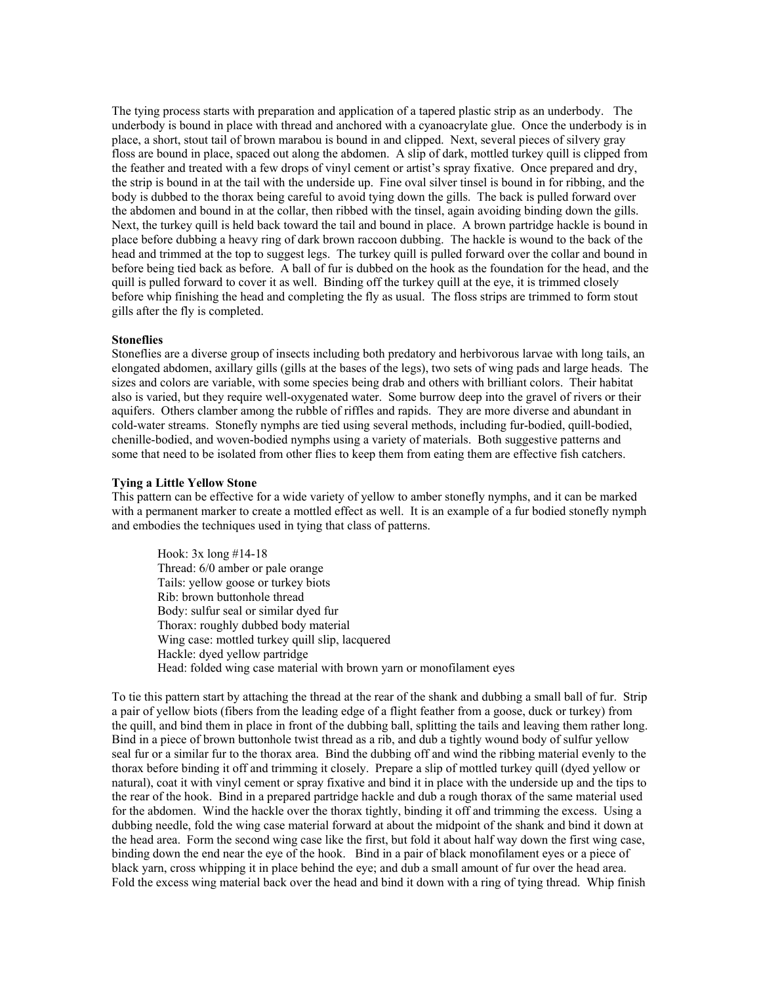The tying process starts with preparation and application of a tapered plastic strip as an underbody. The underbody is bound in place with thread and anchored with a cyanoacrylate glue. Once the underbody is in place, a short, stout tail of brown marabou is bound in and clipped. Next, several pieces of silvery gray floss are bound in place, spaced out along the abdomen. A slip of dark, mottled turkey quill is clipped from the feather and treated with a few drops of vinyl cement or artist's spray fixative. Once prepared and dry, the strip is bound in at the tail with the underside up. Fine oval silver tinsel is bound in for ribbing, and the body is dubbed to the thorax being careful to avoid tying down the gills. The back is pulled forward over the abdomen and bound in at the collar, then ribbed with the tinsel, again avoiding binding down the gills. Next, the turkey quill is held back toward the tail and bound in place. A brown partridge hackle is bound in place before dubbing a heavy ring of dark brown raccoon dubbing. The hackle is wound to the back of the head and trimmed at the top to suggest legs. The turkey quill is pulled forward over the collar and bound in before being tied back as before. A ball of fur is dubbed on the hook as the foundation for the head, and the quill is pulled forward to cover it as well. Binding off the turkey quill at the eye, it is trimmed closely before whip finishing the head and completing the fly as usual. The floss strips are trimmed to form stout gills after the fly is completed.

#### **Stoneflies**

Stoneflies are a diverse group of insects including both predatory and herbivorous larvae with long tails, an elongated abdomen, axillary gills (gills at the bases of the legs), two sets of wing pads and large heads. The sizes and colors are variable, with some species being drab and others with brilliant colors. Their habitat also is varied, but they require well-oxygenated water. Some burrow deep into the gravel of rivers or their aquifers. Others clamber among the rubble of riffles and rapids. They are more diverse and abundant in cold-water streams. Stonefly nymphs are tied using several methods, including fur-bodied, quill-bodied, chenille-bodied, and woven-bodied nymphs using a variety of materials. Both suggestive patterns and some that need to be isolated from other flies to keep them from eating them are effective fish catchers.

#### **Tying a Little Yellow Stone**

This pattern can be effective for a wide variety of yellow to amber stonefly nymphs, and it can be marked with a permanent marker to create a mottled effect as well. It is an example of a fur bodied stonefly nymph and embodies the techniques used in tying that class of patterns.

Hook: 3x long #14-18 Thread: 6/0 amber or pale orange Tails: yellow goose or turkey biots Rib: brown buttonhole thread Body: sulfur seal or similar dyed fur Thorax: roughly dubbed body material Wing case: mottled turkey quill slip, lacquered Hackle: dyed yellow partridge Head: folded wing case material with brown yarn or monofilament eyes

To tie this pattern start by attaching the thread at the rear of the shank and dubbing a small ball of fur. Strip a pair of yellow biots (fibers from the leading edge of a flight feather from a goose, duck or turkey) from the quill, and bind them in place in front of the dubbing ball, splitting the tails and leaving them rather long. Bind in a piece of brown buttonhole twist thread as a rib, and dub a tightly wound body of sulfur yellow seal fur or a similar fur to the thorax area. Bind the dubbing off and wind the ribbing material evenly to the thorax before binding it off and trimming it closely. Prepare a slip of mottled turkey quill (dyed yellow or natural), coat it with vinyl cement or spray fixative and bind it in place with the underside up and the tips to the rear of the hook. Bind in a prepared partridge hackle and dub a rough thorax of the same material used for the abdomen. Wind the hackle over the thorax tightly, binding it off and trimming the excess. Using a dubbing needle, fold the wing case material forward at about the midpoint of the shank and bind it down at the head area. Form the second wing case like the first, but fold it about half way down the first wing case, binding down the end near the eye of the hook. Bind in a pair of black monofilament eyes or a piece of black yarn, cross whipping it in place behind the eye; and dub a small amount of fur over the head area. Fold the excess wing material back over the head and bind it down with a ring of tying thread. Whip finish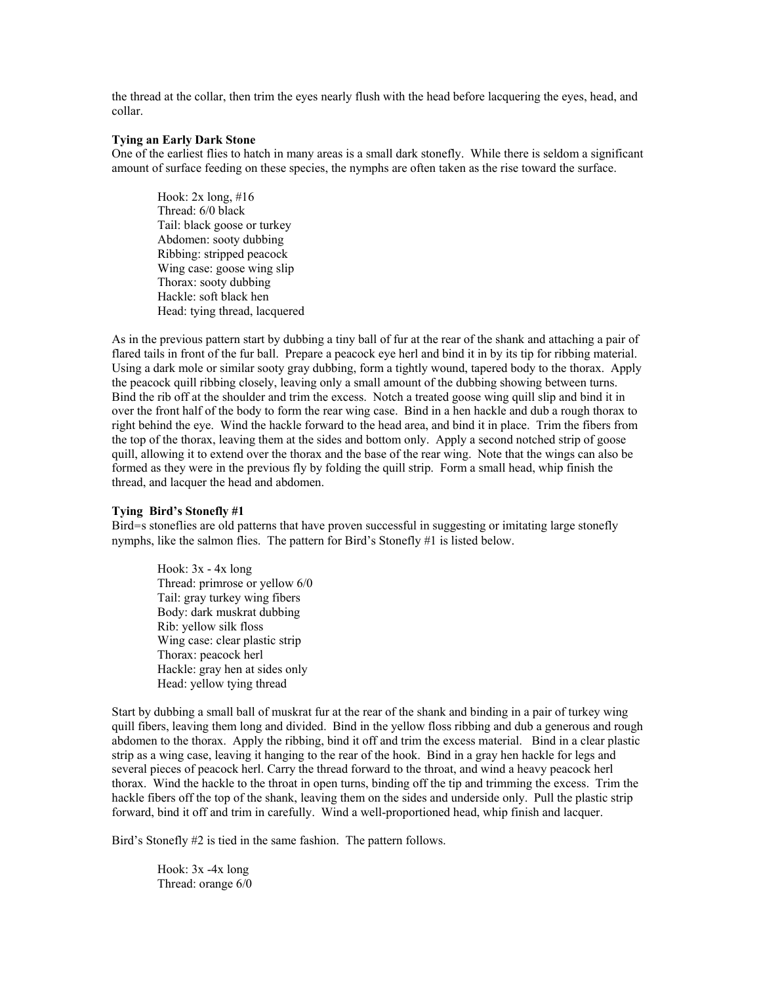the thread at the collar, then trim the eyes nearly flush with the head before lacquering the eyes, head, and collar.

## **Tying an Early Dark Stone**

One of the earliest flies to hatch in many areas is a small dark stonefly. While there is seldom a significant amount of surface feeding on these species, the nymphs are often taken as the rise toward the surface.

Hook:  $2x \text{ long}, \#16$ Thread: 6/0 black Tail: black goose or turkey Abdomen: sooty dubbing Ribbing: stripped peacock Wing case: goose wing slip Thorax: sooty dubbing Hackle: soft black hen Head: tying thread, lacquered

As in the previous pattern start by dubbing a tiny ball of fur at the rear of the shank and attaching a pair of flared tails in front of the fur ball. Prepare a peacock eye herl and bind it in by its tip for ribbing material. Using a dark mole or similar sooty gray dubbing, form a tightly wound, tapered body to the thorax. Apply the peacock quill ribbing closely, leaving only a small amount of the dubbing showing between turns. Bind the rib off at the shoulder and trim the excess. Notch a treated goose wing quill slip and bind it in over the front half of the body to form the rear wing case. Bind in a hen hackle and dub a rough thorax to right behind the eye. Wind the hackle forward to the head area, and bind it in place. Trim the fibers from the top of the thorax, leaving them at the sides and bottom only. Apply a second notched strip of goose quill, allowing it to extend over the thorax and the base of the rear wing. Note that the wings can also be formed as they were in the previous fly by folding the quill strip. Form a small head, whip finish the thread, and lacquer the head and abdomen.

#### **Tying Bird's Stonefly #1**

Bird=s stoneflies are old patterns that have proven successful in suggesting or imitating large stonefly nymphs, like the salmon flies. The pattern for Bird's Stonefly #1 is listed below.

Hook:  $3x - 4x$  long Thread: primrose or yellow 6/0 Tail: gray turkey wing fibers Body: dark muskrat dubbing Rib: yellow silk floss Wing case: clear plastic strip Thorax: peacock herl Hackle: gray hen at sides only Head: yellow tying thread

Start by dubbing a small ball of muskrat fur at the rear of the shank and binding in a pair of turkey wing quill fibers, leaving them long and divided. Bind in the yellow floss ribbing and dub a generous and rough abdomen to the thorax. Apply the ribbing, bind it off and trim the excess material. Bind in a clear plastic strip as a wing case, leaving it hanging to the rear of the hook. Bind in a gray hen hackle for legs and several pieces of peacock herl. Carry the thread forward to the throat, and wind a heavy peacock herl thorax. Wind the hackle to the throat in open turns, binding off the tip and trimming the excess. Trim the hackle fibers off the top of the shank, leaving them on the sides and underside only. Pull the plastic strip forward, bind it off and trim in carefully. Wind a well-proportioned head, whip finish and lacquer.

Bird's Stonefly #2 is tied in the same fashion. The pattern follows.

Hook: 3x -4x long Thread: orange 6/0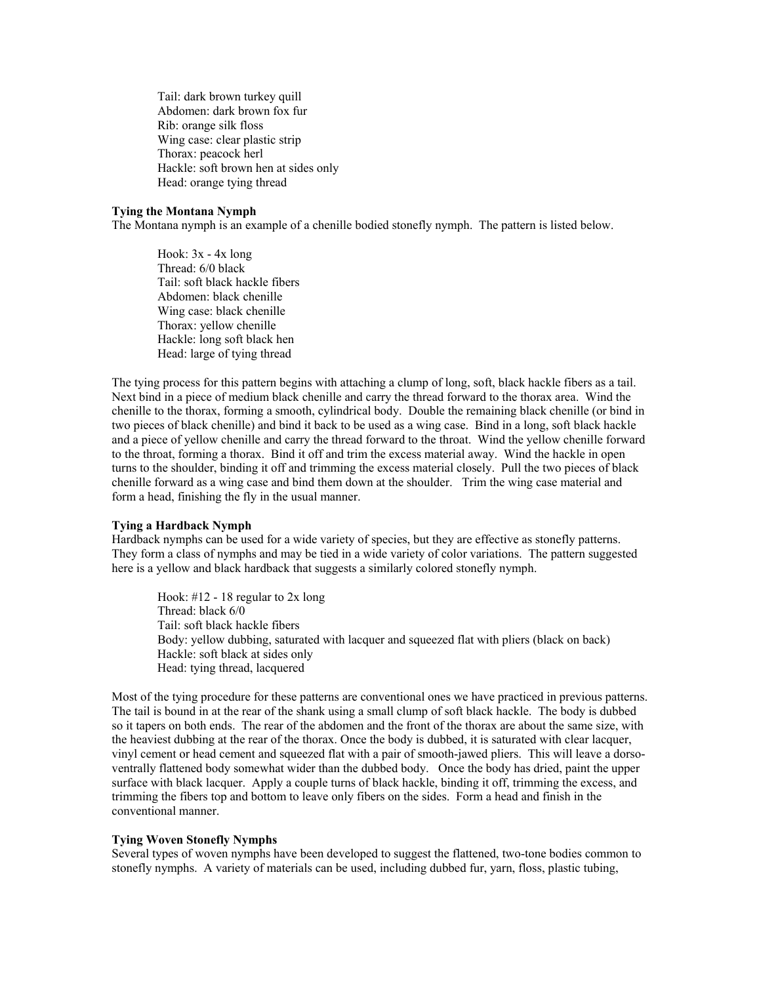Tail: dark brown turkey quill Abdomen: dark brown fox fur Rib: orange silk floss Wing case: clear plastic strip Thorax: peacock herl Hackle: soft brown hen at sides only Head: orange tying thread

### **Tying the Montana Nymph**

The Montana nymph is an example of a chenille bodied stonefly nymph. The pattern is listed below.

Hook:  $3x - 4x$  long Thread: 6/0 black Tail: soft black hackle fibers Abdomen: black chenille Wing case: black chenille Thorax: yellow chenille Hackle: long soft black hen Head: large of tying thread

The tying process for this pattern begins with attaching a clump of long, soft, black hackle fibers as a tail. Next bind in a piece of medium black chenille and carry the thread forward to the thorax area. Wind the chenille to the thorax, forming a smooth, cylindrical body. Double the remaining black chenille (or bind in two pieces of black chenille) and bind it back to be used as a wing case. Bind in a long, soft black hackle and a piece of yellow chenille and carry the thread forward to the throat. Wind the yellow chenille forward to the throat, forming a thorax. Bind it off and trim the excess material away. Wind the hackle in open turns to the shoulder, binding it off and trimming the excess material closely. Pull the two pieces of black chenille forward as a wing case and bind them down at the shoulder. Trim the wing case material and form a head, finishing the fly in the usual manner.

### **Tying a Hardback Nymph**

Hardback nymphs can be used for a wide variety of species, but they are effective as stonefly patterns. They form a class of nymphs and may be tied in a wide variety of color variations. The pattern suggested here is a yellow and black hardback that suggests a similarly colored stonefly nymph.

Hook: #12 - 18 regular to 2x long Thread: black 6/0 Tail: soft black hackle fibers Body: yellow dubbing, saturated with lacquer and squeezed flat with pliers (black on back) Hackle: soft black at sides only Head: tying thread, lacquered

Most of the tying procedure for these patterns are conventional ones we have practiced in previous patterns. The tail is bound in at the rear of the shank using a small clump of soft black hackle. The body is dubbed so it tapers on both ends. The rear of the abdomen and the front of the thorax are about the same size, with the heaviest dubbing at the rear of the thorax. Once the body is dubbed, it is saturated with clear lacquer, vinyl cement or head cement and squeezed flat with a pair of smooth-jawed pliers. This will leave a dorsoventrally flattened body somewhat wider than the dubbed body. Once the body has dried, paint the upper surface with black lacquer. Apply a couple turns of black hackle, binding it off, trimming the excess, and trimming the fibers top and bottom to leave only fibers on the sides. Form a head and finish in the conventional manner.

### **Tying Woven Stonefly Nymphs**

Several types of woven nymphs have been developed to suggest the flattened, two-tone bodies common to stonefly nymphs. A variety of materials can be used, including dubbed fur, yarn, floss, plastic tubing,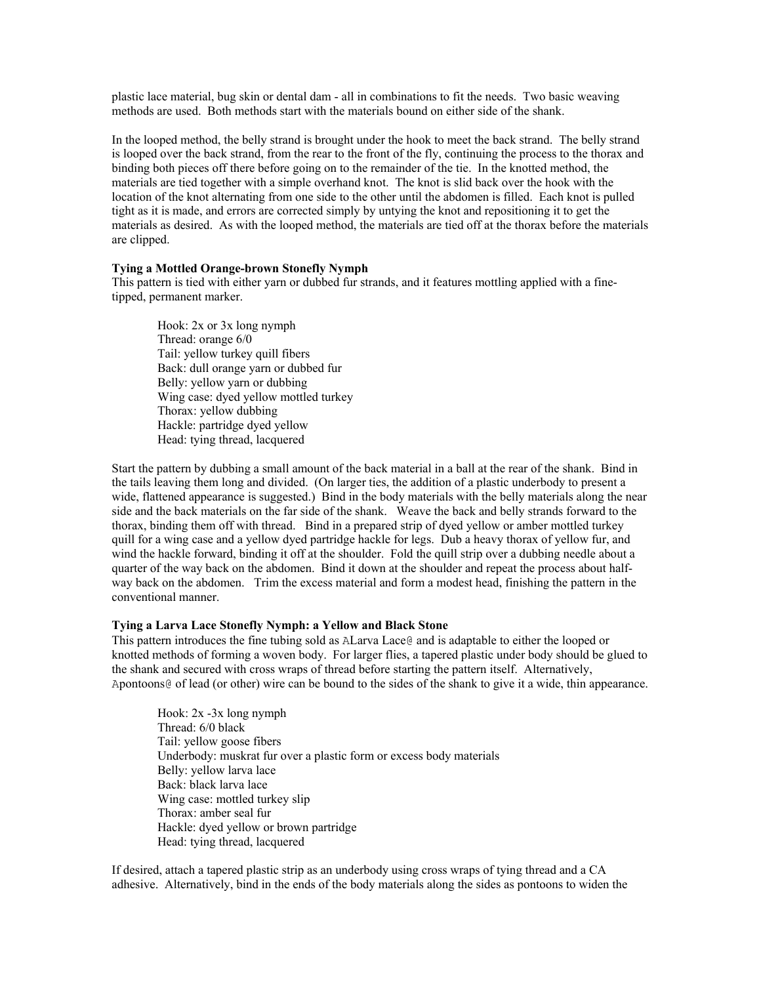plastic lace material, bug skin or dental dam - all in combinations to fit the needs. Two basic weaving methods are used. Both methods start with the materials bound on either side of the shank.

In the looped method, the belly strand is brought under the hook to meet the back strand. The belly strand is looped over the back strand, from the rear to the front of the fly, continuing the process to the thorax and binding both pieces off there before going on to the remainder of the tie. In the knotted method, the materials are tied together with a simple overhand knot. The knot is slid back over the hook with the location of the knot alternating from one side to the other until the abdomen is filled. Each knot is pulled tight as it is made, and errors are corrected simply by untying the knot and repositioning it to get the materials as desired. As with the looped method, the materials are tied off at the thorax before the materials are clipped.

#### **Tying a Mottled Orange-brown Stonefly Nymph**

This pattern is tied with either yarn or dubbed fur strands, and it features mottling applied with a finetipped, permanent marker.

Hook: 2x or 3x long nymph Thread: orange 6/0 Tail: yellow turkey quill fibers Back: dull orange yarn or dubbed fur Belly: yellow yarn or dubbing Wing case: dyed yellow mottled turkey Thorax: yellow dubbing Hackle: partridge dyed yellow Head: tying thread, lacquered

Start the pattern by dubbing a small amount of the back material in a ball at the rear of the shank. Bind in the tails leaving them long and divided. (On larger ties, the addition of a plastic underbody to present a wide, flattened appearance is suggested.) Bind in the body materials with the belly materials along the near side and the back materials on the far side of the shank. Weave the back and belly strands forward to the thorax, binding them off with thread. Bind in a prepared strip of dyed yellow or amber mottled turkey quill for a wing case and a yellow dyed partridge hackle for legs. Dub a heavy thorax of yellow fur, and wind the hackle forward, binding it off at the shoulder. Fold the quill strip over a dubbing needle about a quarter of the way back on the abdomen. Bind it down at the shoulder and repeat the process about halfway back on the abdomen. Trim the excess material and form a modest head, finishing the pattern in the conventional manner.

#### **Tying a Larva Lace Stonefly Nymph: a Yellow and Black Stone**

This pattern introduces the fine tubing sold as ALarva Lace@ and is adaptable to either the looped or knotted methods of forming a woven body. For larger flies, a tapered plastic under body should be glued to the shank and secured with cross wraps of thread before starting the pattern itself. Alternatively, Apontoons@ of lead (or other) wire can be bound to the sides of the shank to give it a wide, thin appearance.

Hook: 2x -3x long nymph Thread: 6/0 black Tail: yellow goose fibers Underbody: muskrat fur over a plastic form or excess body materials Belly: yellow larva lace Back: black larva lace Wing case: mottled turkey slip Thorax: amber seal fur Hackle: dyed yellow or brown partridge Head: tying thread, lacquered

If desired, attach a tapered plastic strip as an underbody using cross wraps of tying thread and a CA adhesive. Alternatively, bind in the ends of the body materials along the sides as pontoons to widen the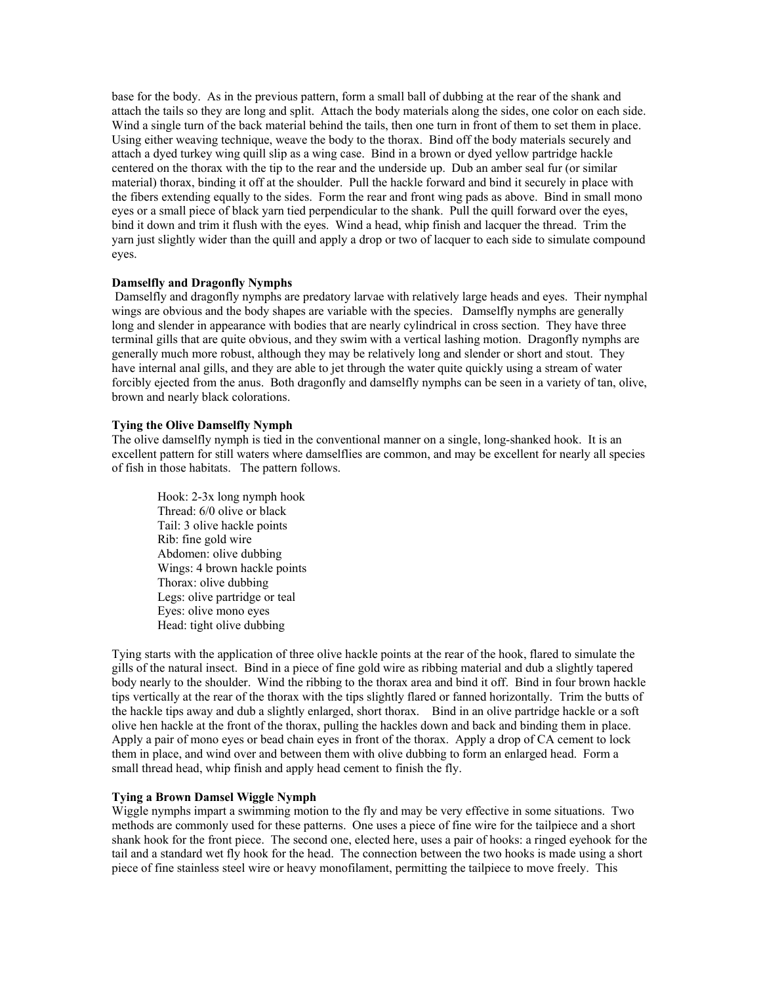base for the body. As in the previous pattern, form a small ball of dubbing at the rear of the shank and attach the tails so they are long and split. Attach the body materials along the sides, one color on each side. Wind a single turn of the back material behind the tails, then one turn in front of them to set them in place. Using either weaving technique, weave the body to the thorax. Bind off the body materials securely and attach a dyed turkey wing quill slip as a wing case. Bind in a brown or dyed yellow partridge hackle centered on the thorax with the tip to the rear and the underside up. Dub an amber seal fur (or similar material) thorax, binding it off at the shoulder. Pull the hackle forward and bind it securely in place with the fibers extending equally to the sides. Form the rear and front wing pads as above. Bind in small mono eyes or a small piece of black yarn tied perpendicular to the shank. Pull the quill forward over the eyes, bind it down and trim it flush with the eyes. Wind a head, whip finish and lacquer the thread. Trim the yarn just slightly wider than the quill and apply a drop or two of lacquer to each side to simulate compound eyes.

### **Damselfly and Dragonfly Nymphs**

 Damselfly and dragonfly nymphs are predatory larvae with relatively large heads and eyes. Their nymphal wings are obvious and the body shapes are variable with the species. Damselfly nymphs are generally long and slender in appearance with bodies that are nearly cylindrical in cross section. They have three terminal gills that are quite obvious, and they swim with a vertical lashing motion. Dragonfly nymphs are generally much more robust, although they may be relatively long and slender or short and stout. They have internal anal gills, and they are able to jet through the water quite quickly using a stream of water forcibly ejected from the anus. Both dragonfly and damselfly nymphs can be seen in a variety of tan, olive, brown and nearly black colorations.

### **Tying the Olive Damselfly Nymph**

The olive damselfly nymph is tied in the conventional manner on a single, long-shanked hook. It is an excellent pattern for still waters where damselflies are common, and may be excellent for nearly all species of fish in those habitats. The pattern follows.

Hook: 2-3x long nymph hook Thread: 6/0 olive or black Tail: 3 olive hackle points Rib: fine gold wire Abdomen: olive dubbing Wings: 4 brown hackle points Thorax: olive dubbing Legs: olive partridge or teal Eyes: olive mono eyes Head: tight olive dubbing

Tying starts with the application of three olive hackle points at the rear of the hook, flared to simulate the gills of the natural insect. Bind in a piece of fine gold wire as ribbing material and dub a slightly tapered body nearly to the shoulder. Wind the ribbing to the thorax area and bind it off. Bind in four brown hackle tips vertically at the rear of the thorax with the tips slightly flared or fanned horizontally. Trim the butts of the hackle tips away and dub a slightly enlarged, short thorax. Bind in an olive partridge hackle or a soft olive hen hackle at the front of the thorax, pulling the hackles down and back and binding them in place. Apply a pair of mono eyes or bead chain eyes in front of the thorax. Apply a drop of CA cement to lock them in place, and wind over and between them with olive dubbing to form an enlarged head. Form a small thread head, whip finish and apply head cement to finish the fly.

#### **Tying a Brown Damsel Wiggle Nymph**

Wiggle nymphs impart a swimming motion to the fly and may be very effective in some situations. Two methods are commonly used for these patterns. One uses a piece of fine wire for the tailpiece and a short shank hook for the front piece. The second one, elected here, uses a pair of hooks: a ringed eyehook for the tail and a standard wet fly hook for the head. The connection between the two hooks is made using a short piece of fine stainless steel wire or heavy monofilament, permitting the tailpiece to move freely. This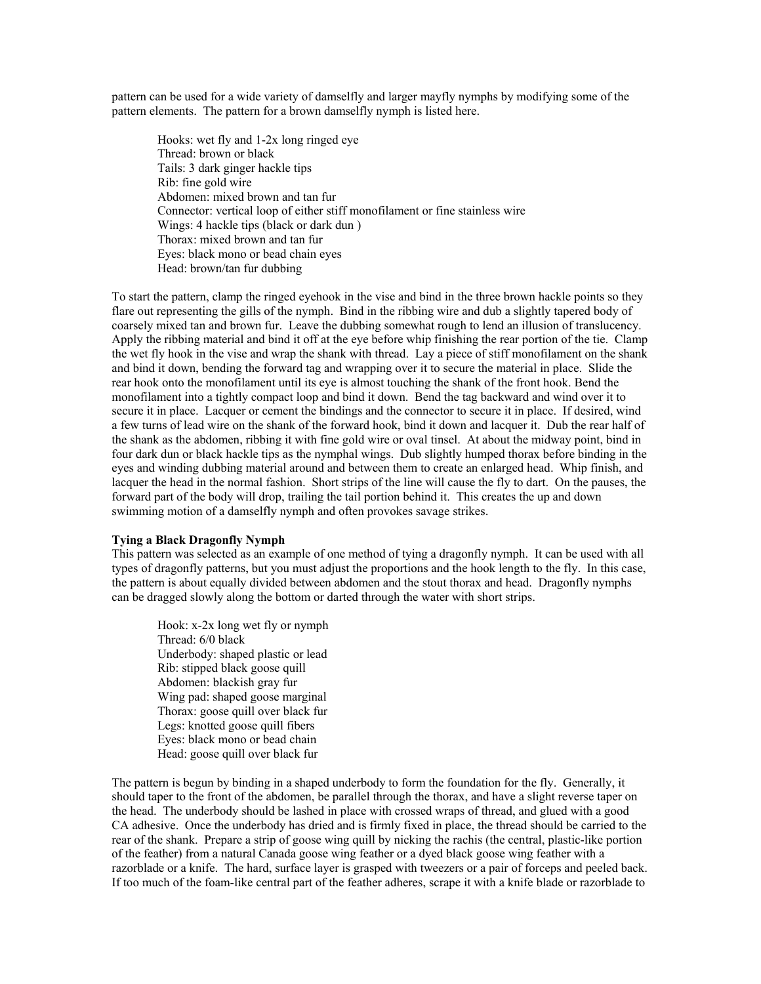pattern can be used for a wide variety of damselfly and larger mayfly nymphs by modifying some of the pattern elements. The pattern for a brown damselfly nymph is listed here.

Hooks: wet fly and 1-2x long ringed eye Thread: brown or black Tails: 3 dark ginger hackle tips Rib: fine gold wire Abdomen: mixed brown and tan fur Connector: vertical loop of either stiff monofilament or fine stainless wire Wings: 4 hackle tips (black or dark dun ) Thorax: mixed brown and tan fur Eyes: black mono or bead chain eyes Head: brown/tan fur dubbing

To start the pattern, clamp the ringed eyehook in the vise and bind in the three brown hackle points so they flare out representing the gills of the nymph. Bind in the ribbing wire and dub a slightly tapered body of coarsely mixed tan and brown fur. Leave the dubbing somewhat rough to lend an illusion of translucency. Apply the ribbing material and bind it off at the eye before whip finishing the rear portion of the tie. Clamp the wet fly hook in the vise and wrap the shank with thread. Lay a piece of stiff monofilament on the shank and bind it down, bending the forward tag and wrapping over it to secure the material in place. Slide the rear hook onto the monofilament until its eye is almost touching the shank of the front hook. Bend the monofilament into a tightly compact loop and bind it down. Bend the tag backward and wind over it to secure it in place. Lacquer or cement the bindings and the connector to secure it in place. If desired, wind a few turns of lead wire on the shank of the forward hook, bind it down and lacquer it. Dub the rear half of the shank as the abdomen, ribbing it with fine gold wire or oval tinsel. At about the midway point, bind in four dark dun or black hackle tips as the nymphal wings. Dub slightly humped thorax before binding in the eyes and winding dubbing material around and between them to create an enlarged head. Whip finish, and lacquer the head in the normal fashion. Short strips of the line will cause the fly to dart. On the pauses, the forward part of the body will drop, trailing the tail portion behind it. This creates the up and down swimming motion of a damselfly nymph and often provokes savage strikes.

### **Tying a Black Dragonfly Nymph**

This pattern was selected as an example of one method of tying a dragonfly nymph. It can be used with all types of dragonfly patterns, but you must adjust the proportions and the hook length to the fly. In this case, the pattern is about equally divided between abdomen and the stout thorax and head. Dragonfly nymphs can be dragged slowly along the bottom or darted through the water with short strips.

Hook: x-2x long wet fly or nymph Thread: 6/0 black Underbody: shaped plastic or lead Rib: stipped black goose quill Abdomen: blackish gray fur Wing pad: shaped goose marginal Thorax: goose quill over black fur Legs: knotted goose quill fibers Eyes: black mono or bead chain Head: goose quill over black fur

The pattern is begun by binding in a shaped underbody to form the foundation for the fly. Generally, it should taper to the front of the abdomen, be parallel through the thorax, and have a slight reverse taper on the head. The underbody should be lashed in place with crossed wraps of thread, and glued with a good CA adhesive. Once the underbody has dried and is firmly fixed in place, the thread should be carried to the rear of the shank. Prepare a strip of goose wing quill by nicking the rachis (the central, plastic-like portion of the feather) from a natural Canada goose wing feather or a dyed black goose wing feather with a razorblade or a knife. The hard, surface layer is grasped with tweezers or a pair of forceps and peeled back. If too much of the foam-like central part of the feather adheres, scrape it with a knife blade or razorblade to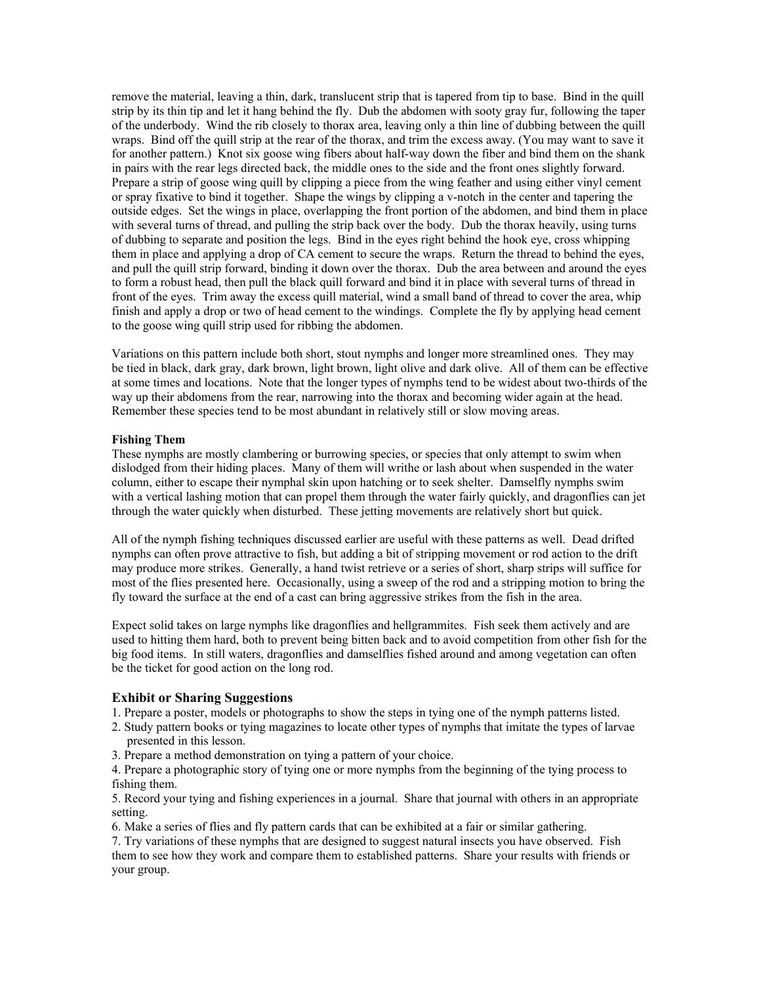remove the material, leaving a thin, dark, translucent strip that is tapered from tip to base. Bind in the quill strip by its thin tip and let it hang behind the fly. Dub the abdomen with sooty gray fur, following the taper of the underbody. Wind the rib closely to thorax area, leaving only a thin line of dubbing between the quill wraps. Bind off the quill strip at the rear of the thorax, and trim the excess away. (You may want to save it for another pattern.) Knot six goose wing fibers about half-way down the fiber and bind them on the shank in pairs with the rear legs directed back, the middle ones to the side and the front ones slightly forward. Prepare a strip of goose wing quill by clipping a piece from the wing feather and using either vinyl cement or spray fixative to bind it together. Shape the wings by clipping a v-notch in the center and tapering the outside edges. Set the wings in place, overlapping the front portion of the abdomen, and bind them in place with several turns of thread, and pulling the strip back over the body. Dub the thorax heavily, using turns of dubbing to separate and position the legs. Bind in the eyes right behind the hook eye, cross whipping them in place and applying a drop of CA cement to secure the wraps. Return the thread to behind the eyes, and pull the quill strip forward, binding it down over the thorax. Dub the area between and around the eyes to form a robust head, then pull the black quill forward and bind it in place with several turns of thread in front of the eyes. Trim away the excess quill material, wind a small band of thread to cover the area, whip finish and apply a drop or two of head cement to the windings. Complete the fly by applying head cement to the goose wing quill strip used for ribbing the abdomen.

Variations on this pattern include both short, stout nymphs and longer more streamlined ones. They may be tied in black, dark gray, dark brown, light brown, light olive and dark olive. All of them can be effective at some times and locations. Note that the longer types of nymphs tend to be widest about two-thirds of the way up their abdomens from the rear, narrowing into the thorax and becoming wider again at the head. Remember these species tend to be most abundant in relatively still or slow moving areas.

#### **Fishing Them**

These nymphs are mostly clambering or burrowing species, or species that only attempt to swim when dislodged from their hiding places. Many of them will writhe or lash about when suspended in the water column, either to escape their nymphal skin upon hatching or to seek shelter. Damselfly nymphs swim with a vertical lashing motion that can propel them through the water fairly quickly, and dragonflies can jet through the water quickly when disturbed. These jetting movements are relatively short but quick.

All of the nymph fishing techniques discussed earlier are useful with these patterns as well. Dead drifted nymphs can often prove attractive to fish, but adding a bit of stripping movement or rod action to the drift may produce more strikes. Generally, a hand twist retrieve or a series of short, sharp strips will suffice for most of the flies presented here. Occasionally, using a sweep of the rod and a stripping motion to bring the fly toward the surface at the end of a cast can bring aggressive strikes from the fish in the area.

Expect solid takes on large nymphs like dragonflies and hellgrammites. Fish seek them actively and are used to hitting them hard, both to prevent being bitten back and to avoid competition from other fish for the big food items. In still waters, dragonflies and damselflies fished around and among vegetation can often be the ticket for good action on the long rod.

### **Exhibit or Sharing Suggestions**

- 1. Prepare a poster, models or photographs to show the steps in tying one of the nymph patterns listed.
- 2. Study pattern books or tying magazines to locate other types of nymphs that imitate the types of larvae presented in this lesson.
- 3. Prepare a method demonstration on tying a pattern of your choice.

4. Prepare a photographic story of tying one or more nymphs from the beginning of the tying process to fishing them.

5. Record your tying and fishing experiences in a journal. Share that journal with others in an appropriate setting.

6. Make a series of flies and fly pattern cards that can be exhibited at a fair or similar gathering.

7. Try variations of these nymphs that are designed to suggest natural insects you have observed. Fish them to see how they work and compare them to established patterns. Share your results with friends or your group.